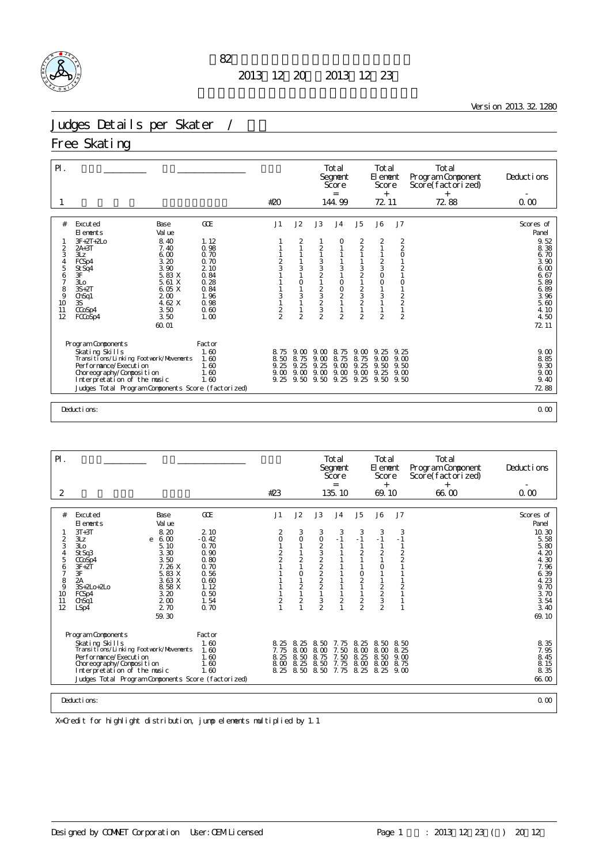

Version 2013.32.1280

#### Judges Details per Skater /

#### Free Skating

| $\mathsf{P}$ .                                                     |                                                                                                                                                                                                                                                                                          |                                                                                                     |                                           |                                                     |                                                                                        | Total<br>Segnent<br>Score<br>$=$                                        |                                                                                                                                                                                              | Total<br>El enent<br>Score<br>$^{+}$                                                                                                                                                              |                                                                                                                                                              | Total<br>Program Component<br>Score(factorized)<br>$+$ | Deductions                                                                                                         |
|--------------------------------------------------------------------|------------------------------------------------------------------------------------------------------------------------------------------------------------------------------------------------------------------------------------------------------------------------------------------|-----------------------------------------------------------------------------------------------------|-------------------------------------------|-----------------------------------------------------|----------------------------------------------------------------------------------------|-------------------------------------------------------------------------|----------------------------------------------------------------------------------------------------------------------------------------------------------------------------------------------|---------------------------------------------------------------------------------------------------------------------------------------------------------------------------------------------------|--------------------------------------------------------------------------------------------------------------------------------------------------------------|--------------------------------------------------------|--------------------------------------------------------------------------------------------------------------------|
|                                                                    |                                                                                                                                                                                                                                                                                          |                                                                                                     | #20                                       |                                                     |                                                                                        | 144.99                                                                  |                                                                                                                                                                                              | 72 11                                                                                                                                                                                             |                                                                                                                                                              | 72.88                                                  | 0.00                                                                                                               |
| #<br>2<br>3<br>$\frac{4}{5}$<br>6<br>7<br>8<br>9<br>10<br>11<br>12 | Excuted<br>Base<br>Val ue<br>El ements<br>$3F + 2T + 2L$<br>8.40<br>$2A+3T$<br>7.40<br>3Lz<br>6.00<br>3.20<br>FCSp4<br>3.90<br>St Sq4<br>5.83 X<br>3F<br>3L <sub>O</sub><br>5.61 X<br>6.05 X<br>$3S+2T$<br>200<br>Ch <sub>Sq1</sub><br>4.62 X<br>3S<br>3.50<br>CCoSp4<br>3.50<br>FCCoSp4 | GOE<br>1.12<br>0.98<br>0.70<br>0.70<br>2.10<br>0.84<br>0.28<br>0.84<br>1.96<br>0.98<br>0.60<br>1.00 | J1<br>$\frac{2}{3}$<br>3<br>$\frac{2}{2}$ | J2<br>2<br>3<br>$\circ$<br>3<br>1<br>$\overline{2}$ | J3<br>2<br>3321<br>$\begin{array}{c}\n2 \\ 3 \\ 2 \\ 3\n\end{array}$<br>$\overline{2}$ | J <sub>4</sub><br>O<br>$\sqrt{3}$<br>$\circ$<br>$^{\rm O}_{\rm 2}$<br>2 | J <sub>5</sub><br>$\begin{array}{c} 2 \\ 2 \\ 1 \end{array}$<br>$\begin{array}{c} 3 \\ 2 \\ 1 \end{array}$<br>$\begin{array}{c}\n2 \\ 3 \\ 2\n\end{array}$<br>$\mathbf{1}$<br>$\overline{2}$ | J6<br>$\frac{2}{1}$<br>$\mathbf{1}$<br>$\begin{array}{c}\n2 \\ 3 \\ 0\n\end{array}$<br>$\mathsf O$<br>$\mathbf{1}$<br>$\ensuremath{\mathsf{3}}$<br>$\mathbf{1}$<br>$\mathbf{1}$<br>$\overline{2}$ | J7<br>$\frac{2}{2}$<br>$\circ$<br>$\mathbf{1}$<br>$\frac{2}{1}$<br>$\circ$<br>$\mathbf{1}$<br>$\begin{array}{c}\n2 \\ 2 \\ 1\n\end{array}$<br>$\overline{2}$ |                                                        | Scores of<br>Panel<br>9.52<br>8.38<br>6.70<br>3.90<br>6.00<br>6.67<br>5.89<br>6.89<br>3.96<br>5.60<br>4.10<br>4.50 |
|                                                                    | 60.01<br>Program Components<br>Skating Skills<br>Transi ti ons/Li nki ng Footvork/Movements<br>Performance/Execution<br>Choreography/Composition<br>Interpretation of the music<br>Judges Total Program Components Score (factorized)                                                    | Factor<br>1.60<br>1.60<br>1.60<br>1.60<br>1.60                                                      | 8.75<br>8.50<br>9.25<br>9.00<br>9.25      | 9. M<br>8.75<br>9.25<br>9.00<br>9.50                | 9. CO<br>9.00<br>9.25<br>9.00<br>9.50                                                  | 8.75<br>8.75<br>9.00<br>9.00<br>9.25                                    | 9.00<br>8.75<br>9.25<br>9.00<br>9.25                                                                                                                                                         | 9.25<br>9.00<br>9.50<br>9.25<br>9.50                                                                                                                                                              | 9.25<br>9.00<br>9.50<br>9.00<br>9.50                                                                                                                         |                                                        | 72 11<br>9.00<br>8.85<br>9.30<br>9.00<br>9.40<br>7288                                                              |
|                                                                    | Deductions:                                                                                                                                                                                                                                                                              |                                                                                                     |                                           |                                                     |                                                                                        |                                                                         |                                                                                                                                                                                              |                                                                                                                                                                                                   |                                                                                                                                                              |                                                        | 0.00                                                                                                               |

Pl. 選手名\_\_\_\_\_\_\_\_\_\_ 所属\_\_\_\_\_\_\_\_\_\_\_\_\_\_\_\_ 滑走順 Total Total Total Total Total Total<br>Segment Element Program Component Deductions<br>Score Score Score(factorized) Score(factorized)  $13\overline{5}$  10  $\overline{69}$  10  $\overline{66}$  00  $\overline{0}$  00  $2$  2 135.10 69.10 66.00 0.00 # Excuted Base GOE J1 J2 J3 J4 J5 J6 J7 Scores of Elements Value Panel 1 3T+3T 8.20 2.10 2 3 3 3 3 3 3 10.30 2 3Lz e 6.00 -0.42 0 0 0 -1 -1 -1 -1 5.58 3 3Lo 5.10 0.70 1 1 2 1 1 1 1 5.80 4 StSq3 3.30 0.90 2 1 3 1 2 2 2 4.20 5 CCoSp4 3.50 0.80 2 2 2 1 1 1 2 4.30 6 3F+2T 7.26 X 0.70 1 1 2 1 1 0 1 7.96 7 3F 5.83 X 0.56 1 0 2 1 0 1 1 6.39 8 2A 3.63 X 0.60 1 1 2 1 2 1 1 2 4.23 9 3S+2Lo+2Lo 8.58 X 1.12 1 2 2 1 1 2 2 9.70 10 FCSp4 3.20 0.50 1 1 1 1 1 2 1 3.70 11 ChSq1 2.00 1.54 2 2 3 2 2 3 1 3.54 3.54 12 LSp4 2.70 0.70 1 1 2 1 2 2 1 3.40 59.30 69.10 Program Components Factor Skating Skills 1.60 1.60 8.25 8.25 8.50 7.75 8.25 8.50 8.50 8.35<br>Transitions/Linking Footwork/Movements 1.60 7.75 8.20 8.00 8.00 8.00 8.00 8.925 8.50 9.00 7.95 8.25 8.50 8.25<br>Performance/Execution 1.60 8.45 8.25 8.50 8.25 Choreography/Composition 1.60 8.00 8.25 8.50 7.75 8.00 8.00 8.75 8.15 Interpretation of the music 1.60 8.25 8.50 8.50 7.75 8.25 8.25 9.00 8.35 Juding Components Tactor<br>
Skating Skills Transitions/Linking Footwork/Movements 1.60 8.25 8.25 8.50 7.75 8.25 8.50 8.50<br>
Transitions/Linking Footwork/Movements 1.60 7.75 8.00 8.00 7.50 8.00 8.00 8.25 7.95<br>
Performance/Exe Deductions: 0.00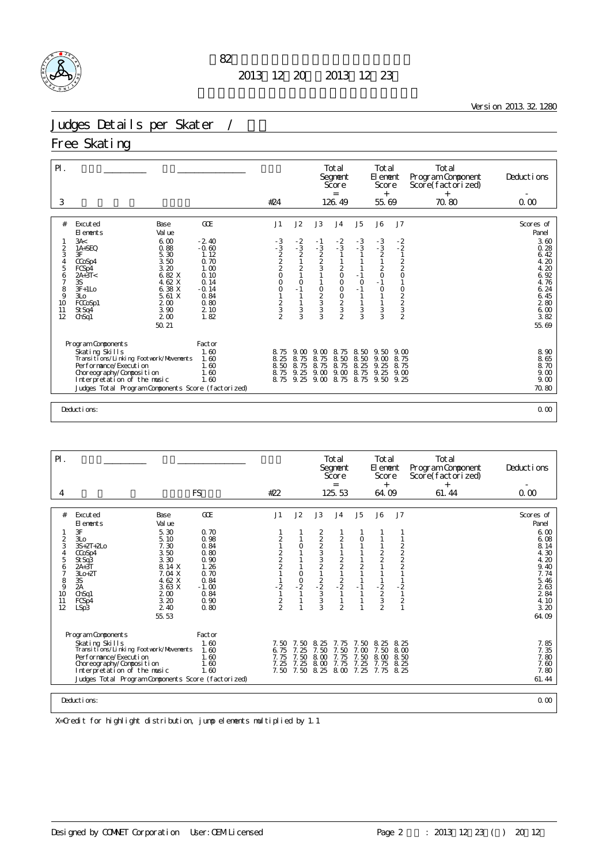

<u> 1980 - Johann Barn, mars ann an t-Amhain Aonaich an t-Aonaich an t-Aonaich ann an t-Aonaich ann an t-Aonaich</u>

Version 2013.32.1280

### Judges Details per Skater /

#### Free Skating

| $\mathsf{PI}$ .<br>3               |                                                                                                                                                               |                                                         | #24                                          |                                                                           |                                                   | Total<br>Segnent<br>Score<br>$=$<br>126.49                                                           |                                                                | Total<br>El enent<br>Score<br>$+$<br>55.69            |                                                                              | Total<br>Program Component<br>Score(factorized)<br>$^{+}$<br>70.80 | Deductions<br>0.00                                           |
|------------------------------------|---------------------------------------------------------------------------------------------------------------------------------------------------------------|---------------------------------------------------------|----------------------------------------------|---------------------------------------------------------------------------|---------------------------------------------------|------------------------------------------------------------------------------------------------------|----------------------------------------------------------------|-------------------------------------------------------|------------------------------------------------------------------------------|--------------------------------------------------------------------|--------------------------------------------------------------|
|                                    |                                                                                                                                                               |                                                         |                                              |                                                                           |                                                   |                                                                                                      |                                                                |                                                       |                                                                              |                                                                    |                                                              |
| #<br>2<br>3<br>4<br>5              | Excuted<br>Base<br>Val ue<br>El ements<br>3A<<br>6.00<br>0.88<br>1A+SEQ<br>3F<br>5.30<br>3.50<br>CCoSp4<br>3.20<br>FCS <sub>p4</sub>                          | GOE<br>$-2.40$<br>$-0.60$<br>1.12<br>0.70<br>1.00       | J1<br>$-3$<br>$-3$<br>$2$<br>$2$<br>$2$<br>O | J2<br>$-2$<br>$-3$<br>2<br>$\frac{1}{2}$                                  | J3<br>- 1<br>$\frac{3}{2}$<br>$\frac{2}{3}$       | J <sub>4</sub><br>$\frac{-2}{3}$<br>$\frac{1}{2}$                                                    | J <sub>5</sub><br>$-3$<br>$-3$<br>$\mathbf{1}$<br>$\mathbf{1}$ | J6<br>$-3$<br>$-3$<br>2<br>1<br>$\frac{2}{0}$         | J7<br>$\frac{-2}{2}$<br>$\mathbf{1}$<br>$\frac{2}{2}$ <sub>0</sub>           |                                                                    | Scores of<br>Panel<br>3.60<br>0.28<br>6.42<br>4.20<br>4.20   |
| 6<br>7<br>8<br>9<br>10<br>11<br>12 | 6.82 X<br>$2A+3T<$<br>4.62 X<br>3S<br>6.38 X<br>$3F+1LO$<br>5.61 X<br>3L <sub>O</sub><br>200<br>FCCoSp1<br>3.90<br>St Sq4<br>2 <sub>0</sub><br>ChSq1<br>50.21 | 0.10<br>0.14<br>$-0.14$<br>0.84<br>0.80<br>2 10<br>1.82 | $\circ$<br>$\circ$<br>$\frac{2}{3}$          | $\mathbf{1}$<br>$\circ$<br>$-1$<br>$\mathbf{1}$<br>$\mathbf{1}$<br>3<br>3 | $\begin{array}{c}\n0 \\ 2 \\ 3\n\end{array}$<br>3 | $\mathsf O$<br>$\circ$<br>$\mathsf O$<br>$\begin{array}{c} 0 \\ 2 \\ 3 \end{array}$<br>$\mathcal{P}$ | $-1$<br>$\circ$<br>$-1$<br>$\mathbf{1}$<br>$\frac{1}{3}$<br>3  | $-1$<br>$\circ$<br>$\mathbf{1}$<br>$\frac{1}{3}$<br>3 | $\mathbf{1}$<br>$\circ$<br>$\begin{array}{c}\n2 \\ 2 \\ 3 \\ 2\n\end{array}$ |                                                                    | 6.92<br>4.76<br>6.24<br>6.45<br>280<br>6.00<br>3.82<br>55.69 |
|                                    | Program Components<br>Skating Skills<br>Transi ti ons/Li nki ng Footvork/Movements<br>Performance/Execution<br>Choreography/Composition                       | Factor<br>1.60<br>1.60<br>1.60<br>1.60                  | 8.75<br>8.25<br>8.50<br>8.75                 | 9.00<br>8.75<br>8.75<br>9.25                                              | 9.00<br>8.75<br>8.75<br>9.00                      | 8.75<br>8.50<br>8.75<br>9.00                                                                         | 8.50<br>8.50<br>8.25<br>8.75                                   | 9.50<br>9.00<br>9.25<br>9.25                          | 9.00<br>8.75<br>8.75<br>9.00                                                 |                                                                    | 8.90<br>8.65<br>8.70<br>9.00                                 |
|                                    | Interpretation of the music<br>Judges Total Program Components Score (factorized)                                                                             | 1.60                                                    |                                              | 8.75 9.25                                                                 | 9.00                                              | 8.75                                                                                                 | 8.75                                                           | 9.50                                                  | 9.25                                                                         |                                                                    | 9.00<br>70.80                                                |
|                                    |                                                                                                                                                               |                                                         |                                              |                                                                           |                                                   |                                                                                                      |                                                                |                                                       |                                                                              |                                                                    |                                                              |
|                                    | Deductions:                                                                                                                                                   |                                                         |                                              |                                                                           |                                                   |                                                                                                      |                                                                |                                                       |                                                                              |                                                                    | 0.00                                                         |

| $P$ .         |                                                                       |                 |                                            |               |                                                    | Total<br>Segnent<br>Score<br>$=$             |               | Total<br>El ement<br>Score<br>$+$                |                        | Total<br>Program Component<br>Score(factorized) | Deductions                |
|---------------|-----------------------------------------------------------------------|-----------------|--------------------------------------------|---------------|----------------------------------------------------|----------------------------------------------|---------------|--------------------------------------------------|------------------------|-------------------------------------------------|---------------------------|
| 4             |                                                                       | <b>FS</b>       | #22                                        |               |                                                    | 125.53                                       |               | 64.09                                            |                        | $^{+}$<br>61.44                                 | 0.00                      |
|               |                                                                       |                 |                                            |               |                                                    |                                              |               |                                                  |                        |                                                 |                           |
| #             | Excuted<br>Base<br>El ements<br>Val ue                                | GOE             | J1                                         | J2            | J3                                                 | J <sub>4</sub>                               | J5            | J6                                               | J7                     |                                                 | Scores of<br>Panel        |
|               | 3F<br>5.30                                                            | 0.70            |                                            |               |                                                    |                                              |               |                                                  |                        |                                                 | 6.00                      |
| $\frac{2}{3}$ | 3L <sub>O</sub><br>5.10<br>$3S + 2T + 2LO$<br>7.30                    | 0.98<br>0.84    | $\frac{2}{1}$                              | $\circ$       |                                                    | $\frac{2}{1}$                                | 0             |                                                  |                        |                                                 | 6.08<br>8.14              |
| 4             | 3.50<br>CCoSp4                                                        | 0.80            |                                            | 1             |                                                    |                                              |               |                                                  |                        |                                                 | 4.30                      |
| 5<br>6        | 3.30<br>StSq3<br>8.14 X<br>$2A+3T$                                    | 0.90<br>1.26    | $\begin{array}{c} 2 \\ 2 \\ 2 \end{array}$ | $\mathbf{1}$  | 2223321                                            | $\begin{array}{c}\n2 \\ 2 \\ 1\n\end{array}$ |               | $\frac{2}{2}$                                    | $222$<br>$22$          |                                                 | 4.20<br>9.40              |
| 7             | $3L0+2T$<br>7.04 X                                                    | 0.70            |                                            | $\circ$       |                                                    |                                              | $\frac{2}{1}$ |                                                  |                        |                                                 | 7.74                      |
| 8<br>9        | 4.62 X<br>3S<br>2A<br>3.63X                                           | 0.84<br>$-1.00$ | $-2$                                       | $\frac{0}{2}$ |                                                    | $\frac{2}{2}$                                | $-1$          |                                                  | $-\frac{2}{1}$         |                                                 | 5.46<br>263               |
| 10<br>11      | ChSq1<br>200<br>3.20<br>FCSp4                                         | 0.84<br>0.90    |                                            | $\mathbf{1}$  | $\begin{array}{c}\n2 \\ -2 \\ 3 \\ 3\n\end{array}$ |                                              |               | $\begin{array}{c} -2 \\ 2 \\ 3 \\ 2 \end{array}$ |                        |                                                 | $\overline{2}$ 84<br>4.10 |
| 12            | 2 4 0<br>LSp3                                                         | 0.80            | $\frac{2}{2}$                              | $\mathbf{1}$  | $\overline{3}$                                     | $\overline{2}$                               |               |                                                  | $\frac{2}{1}$          |                                                 | 3.20                      |
|               | 55.53                                                                 |                 |                                            |               |                                                    |                                              |               |                                                  |                        |                                                 | 64.09                     |
|               | Program Components                                                    | Factor          |                                            |               |                                                    |                                              |               |                                                  |                        |                                                 |                           |
|               | Skating Skills                                                        | 1.60            | 7.50                                       | 7.50          | 8.25                                               | 7.75                                         | 7.50          | 8.<br>25                                         | 8.25                   |                                                 | 7.85<br>7.35              |
|               | Transi ti ons/Li nki ng Footvork/Movements<br>Per for mance/Execution | 1.60<br>1.60    | 6.75<br>7.75                               | 7.25<br>7.50  | 7.50<br>8.00                                       | 7.50<br>7.75                                 | 7.00<br>7.50  | 7.50<br>8.00                                     | 8 <sub>0</sub><br>8.50 |                                                 | 7.80                      |
|               | Choreography/Composition<br>Interpretation of the music               | 1.60<br>1.60    | 7.25                                       | 7.25          | 8.00<br>7.50 7.50 8.25 8.00                        | 7.75                                         | 7.25<br>7.25  | 7.75<br>7. 75                                    | 8.25<br>8.25           |                                                 | 7.60<br>7.80              |
|               | Judges Total Program Components Score (factorized)                    |                 |                                            |               |                                                    |                                              |               |                                                  |                        |                                                 | 61.44                     |
|               |                                                                       |                 |                                            |               |                                                    |                                              |               |                                                  |                        |                                                 |                           |
|               | Deductions:                                                           |                 |                                            |               |                                                    |                                              |               |                                                  |                        |                                                 | 0.00                      |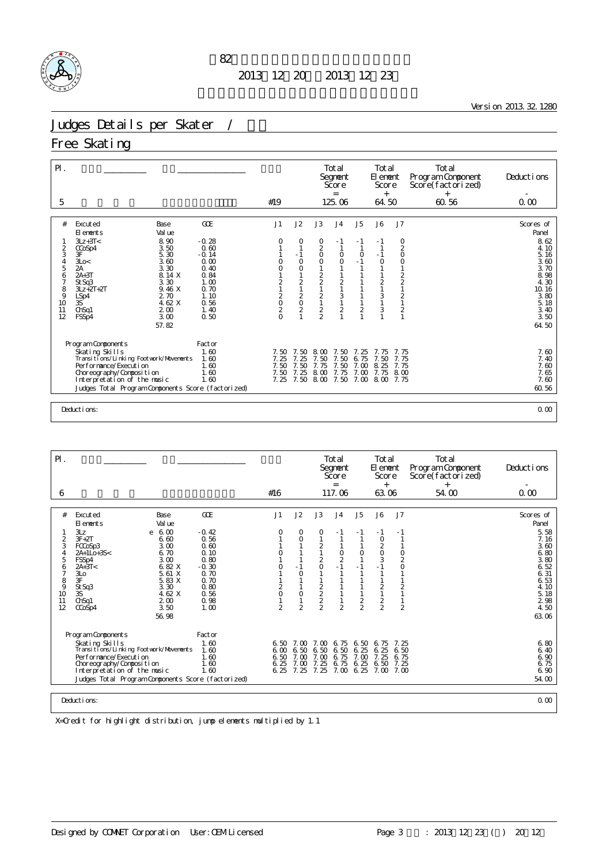

<u> 1980 - Johann Barn, mars ann an t-Amhain Aonaich an t-Aonaich an t-Aonaich ann an t-Aonaich ann an t-Aonaich</u>

Version 2013.32.1280

### Judges Details per Skater /

#### Free Skating

| $\mathsf{P}$ .<br>5            |                                                                                       |                                 | #19                                                      |                                   |                                                 | Total<br>Segnent<br>Score<br>$=$<br>125.06   |                                     | Total<br>El enent<br>Score<br>$^{+}$<br>64.50   |                                                                                  | Total<br>Program Component<br>Score(factorized)<br>$^{+}$<br>60.56 | Deductions<br>0.00            |
|--------------------------------|---------------------------------------------------------------------------------------|---------------------------------|----------------------------------------------------------|-----------------------------------|-------------------------------------------------|----------------------------------------------|-------------------------------------|-------------------------------------------------|----------------------------------------------------------------------------------|--------------------------------------------------------------------|-------------------------------|
|                                |                                                                                       |                                 |                                                          |                                   |                                                 |                                              |                                     |                                                 |                                                                                  |                                                                    |                               |
| #                              | Excuted<br>Base<br>Val ue<br>El ements<br>$3Lz + 3T <$<br>8.90                        | GOE<br>$-0.28$                  | J1                                                       | J2<br>0                           | J3<br>0                                         | J <sub>4</sub><br>- 1                        | J <sub>5</sub><br>- 1               | <b>J6</b><br>$-1$                               | J7<br>0                                                                          |                                                                    | Scores of<br>Panel<br>8.62    |
| $\frac{2}{3}$<br>$\frac{4}{5}$ | 3.50<br>CCoSp4<br>3F<br>5.30<br>3.60<br>3Lo<<br>2A<br>3.30                            | 0.60<br>$-0.14$<br>0.00<br>0.40 | O<br>O                                                   | $-1$<br>$\circ$<br>0              | $\frac{2}{0}$<br>$\circ$                        | $\circ$<br>$\circ$                           | $\circ$<br>$-1$<br>$\mathbf{1}$     | $\mathbf{1}$<br>$-1$<br>$\circ$<br>$\mathbf{1}$ | $\overline{\mathbf{c}}$<br>$\circ$<br>$\begin{smallmatrix}0\\1\end{smallmatrix}$ |                                                                    | 4.10<br>5.16<br>3.60<br>3.70  |
| 6<br>7<br>8<br>9               | 8.14 X<br>$2A+3T$<br>3.30<br>St Sq3<br>9.46 X<br>$3Lz + 2T + 2T$<br>2 70<br>LSp4      | 0.84<br>1.00<br>0.70<br>1.10    | $\overline{\mathbf{c}}$                                  | $\sqrt{2}$<br>1<br>$\overline{c}$ | $\frac{2}{2}$                                   | $\overline{c}$<br>$\mathbf{1}$<br>$\sqrt{3}$ | 1<br>$\mathbf{1}$                   | $\mathbf{1}$<br>$\frac{2}{1}$<br>3              | $\begin{array}{c}\n2 \\ 2 \\ 1\n\end{array}$                                     |                                                                    | 8.98<br>4.30<br>10.16<br>3.80 |
| 10<br>11<br>12                 | 3S<br>4.62 X<br>2 <sub>0</sub><br>ChSq1<br>3.00<br>FSSp4                              | 0.56<br>1.40<br>0.50            | $\begin{array}{c}\n2 \\ 0 \\ 2\n\end{array}$<br>$\Omega$ | $\frac{0}{2}$                     | $\begin{array}{c} 2 \\ 1 \\ 2 \\ 2 \end{array}$ | $\mathbf{1}$<br>$\overline{c}$               | $\mathbf{1}$<br>$\overline{c}$<br>1 | $\mathbf{1}$<br>3<br>$\mathbf{1}$               | $\frac{2}{1}$<br>$\frac{2}{1}$                                                   |                                                                    | 5.18<br>3.40<br>3.50          |
|                                | 57.82                                                                                 |                                 |                                                          |                                   |                                                 |                                              |                                     |                                                 |                                                                                  |                                                                    | 64.50                         |
|                                | Program Components                                                                    | Factor                          |                                                          |                                   |                                                 |                                              |                                     |                                                 |                                                                                  |                                                                    |                               |
|                                | Skating Skills<br>Transi ti ons/Li nki ng Footvork/Movements<br>Performance/Execution | 1.60<br>1.60                    | 7.50<br>7.25                                             | 7.50<br>7.25                      | 8<br>$\infty$<br>7.50                           | 7.50<br>7.50                                 | 7.25<br>6.75<br>7.00                | 7.75<br>7.50                                    | 7.75<br>7.75<br>7.75                                                             |                                                                    | 7.60<br>7.40                  |
|                                | Choreography/Composition<br>Interpretation of the music                               | 1.60<br>1.60<br>1.60            | 7.50<br>7.50<br>7.25                                     | 7.50<br>7.25<br>7.50              | 7.75<br>8.00<br>8.00                            | 7.50<br>7.75<br>7.50                         | 7.00                                | 8.25<br>7.75<br>7.00 8.00                       | 8 <sub>0</sub><br>7.75                                                           |                                                                    | $\frac{7.60}{7.65}$<br>7.60   |
|                                | Judges Total Program Components Score (factorized)                                    |                                 |                                                          |                                   |                                                 |                                              |                                     |                                                 |                                                                                  |                                                                    | 60.56                         |
|                                |                                                                                       |                                 |                                                          |                                   |                                                 |                                              |                                     |                                                 |                                                                                  |                                                                    |                               |
|                                | Deductions:                                                                           |                                 |                                                          |                                   |                                                 |                                              |                                     |                                                 |                                                                                  |                                                                    | 0.00                          |

| $\mathsf{P}$ .                                                                                 |                                                                                                                                                                                                                                                                                              |                                                                                                           |                                                      |                                                                         |                                                                                 | Total<br>Segnent<br>Score                                                        |                                               | Total<br>El ement<br>Score<br>$^{+}$                                                              |                                                                           | Total<br>Program Component<br>Score(factorized) | Deductions                                                                                                                  |
|------------------------------------------------------------------------------------------------|----------------------------------------------------------------------------------------------------------------------------------------------------------------------------------------------------------------------------------------------------------------------------------------------|-----------------------------------------------------------------------------------------------------------|------------------------------------------------------|-------------------------------------------------------------------------|---------------------------------------------------------------------------------|----------------------------------------------------------------------------------|-----------------------------------------------|---------------------------------------------------------------------------------------------------|---------------------------------------------------------------------------|-------------------------------------------------|-----------------------------------------------------------------------------------------------------------------------------|
| 6                                                                                              |                                                                                                                                                                                                                                                                                              |                                                                                                           | #16                                                  |                                                                         |                                                                                 | $=$<br>117.06                                                                    |                                               | 63.06                                                                                             |                                                                           | $^{+}$<br>54.00                                 | 0.00                                                                                                                        |
| #<br>$\overline{\mathbf{c}}$<br>3<br>$\overline{4}$<br>5<br>6<br>7<br>8<br>9<br>10<br>11<br>12 | Excuted<br>Base<br>Val ue<br>El ements<br>3Lz<br>$e \t 600$<br>$3F + 2T$<br>6.60<br>3.00<br>FCCoSp3<br>6.70<br>$2A+1Lo+3S<$<br>3.00<br>FSSp4<br>6.82 X<br>$2A+3T<$<br>5.61 X<br>3 <sub>LO</sub><br>3F<br>5.83 X<br>St Sq3<br>3.30<br>4.62 X<br>3S<br>ChSq1<br>200<br>3.50<br>CCoSp4<br>56.98 | GOE<br>$-0.42$<br>0.56<br>0.60<br>0.10<br>0.80<br>$-0.30$<br>0.70<br>0.70<br>0.80<br>0.56<br>0.98<br>1.00 | J1<br>0<br>0<br>0<br>$\frac{2}{0}$<br>$\overline{2}$ | J2<br>0<br>$\circ$<br>$-1$<br>$\circ$<br>1<br>$\circ$<br>$\overline{2}$ | J3<br>0<br>2<br>$\mathbf{1}$<br>$\frac{2}{0}$<br>$\frac{2}{2}$<br>$\frac{2}{2}$ | J <sub>4</sub><br>- 1<br>$\frac{0}{2}$<br>$-1$<br>$\mathbf{1}$<br>$\overline{2}$ | J5<br>- 1<br>$\circ$<br>$-1$<br>$\frac{2}{2}$ | J6<br>$-1$<br>$\circ$<br>$\overline{a}$<br>$\circ$<br>3<br>$-1$<br>$\frac{2}{1}$<br>$\frac{2}{2}$ | J7<br>- 1<br>$\frac{0}{2}$<br>$\circ$<br>$\overline{c}$<br>$\overline{2}$ |                                                 | Scores of<br>Panel<br>5.58<br>7.16<br>3.60<br>6.80<br>3.80<br>6.52<br>6.31<br>6.53<br>4.10<br>5.18<br>2 98<br>4.50<br>63.06 |
|                                                                                                | Program Components<br>Skating Skills<br>Transi ti ons/Li nki ng Footvork/Movements<br>Per for mance/Execution<br>Choreography/Composition<br>Interpretation of the music<br>Judges Total Program Components Score (factorized)<br>Deductions:                                                | Factor<br>1.60<br>1.60<br>1.60<br>1.60<br>1.60                                                            | 6.50<br>6.25<br>6.25                                 | 6, 50, 7, 00<br>6,00,6,50<br>7.00<br>7.00<br>7.25                       | 7.00<br>6.50<br>7.00<br>7.25<br>7.25                                            | 6.75<br>6.50<br>6.75<br>6.75<br>7.00                                             | 6.50<br>6.25<br>7.00<br>6.25<br>6.25          | 6.75<br>6.25<br>7.25<br>6.50<br>7.00                                                              | 7.25<br>6.50<br>6.75<br>7.25<br>7. CO                                     |                                                 | 6.80<br>6.40<br>6.90<br>6.75<br>6.90<br>54.00<br>0.00                                                                       |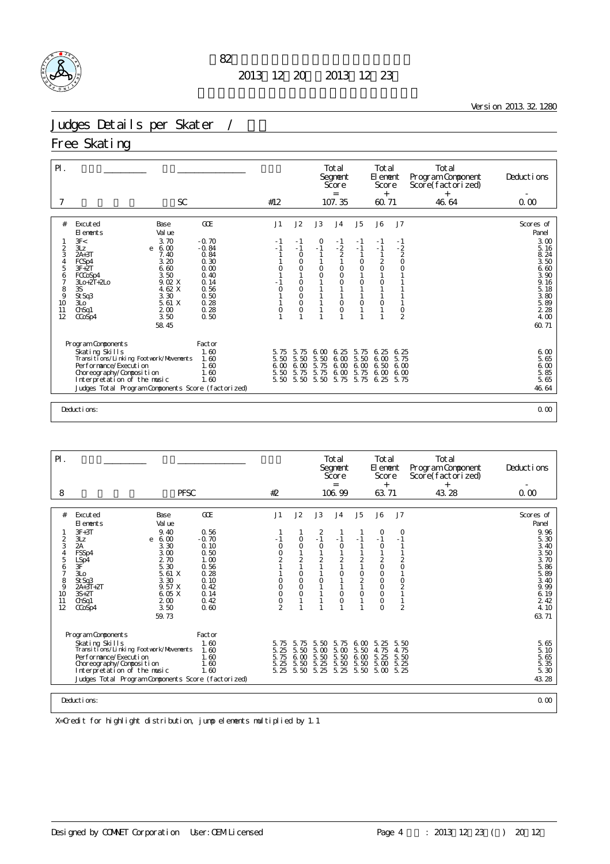

the control of the control of the control of the control of the control of

Version 2013.32.1280

### Judges Details per Skater /

#### Free Skating

| $P$ .                                                       | <b>SC</b>                                                                                                                                                                                                                                                                                            |                                                                                                           | #12                                 |                                                                                          |                                       | Total<br>Segnent<br>Score<br>$=$<br>107.35                                                     |                                                                                                                | Total<br>El enent<br>Score<br>$+$<br>60.71                                                                                                                       |                                                                                                                         | Total<br>Program Component<br>Score(factorized)<br>46.64 | Deductions<br>0.00                                                                                                          |
|-------------------------------------------------------------|------------------------------------------------------------------------------------------------------------------------------------------------------------------------------------------------------------------------------------------------------------------------------------------------------|-----------------------------------------------------------------------------------------------------------|-------------------------------------|------------------------------------------------------------------------------------------|---------------------------------------|------------------------------------------------------------------------------------------------|----------------------------------------------------------------------------------------------------------------|------------------------------------------------------------------------------------------------------------------------------------------------------------------|-------------------------------------------------------------------------------------------------------------------------|----------------------------------------------------------|-----------------------------------------------------------------------------------------------------------------------------|
|                                                             |                                                                                                                                                                                                                                                                                                      |                                                                                                           |                                     |                                                                                          |                                       |                                                                                                |                                                                                                                |                                                                                                                                                                  |                                                                                                                         |                                                          |                                                                                                                             |
| #<br>2<br>3<br>4<br>5<br>6<br>7<br>8<br>9<br>10<br>11<br>12 | Excuted<br>Base<br>Val ue<br>El ements<br>3F<<br>3.70<br>3Lz<br>6.00<br>e<br>$2A+3T$<br>7.40<br>3.20<br>FCSp4<br>$3F+2T$<br>6.60<br>3.50<br>FCCoSp4<br>9.02 X<br>$3L + 2T + 2L$<br>4.62 X<br>3S<br>3.30<br>St Sq3<br>5.61 X<br>3L <sub>O</sub><br>ChSq1<br>2 <sub>0</sub><br>3.50<br>CCoSp4<br>58.45 | GCE<br>$-0.70$<br>$-0.84$<br>0.84<br>0.30<br>0.00<br>0.40<br>0.14<br>0.56<br>0.50<br>0.28<br>0.28<br>0.50 | J1<br>- 1<br>O<br>$\circ$<br>0      | J2<br>$-1$<br>$-1$<br>$\circ$<br>O<br>$\circ$<br>$\circ$<br>$\circ$<br>O<br>$\circ$<br>O | J3<br>0<br>$-1$<br>$\circ$<br>$\circ$ | J <sub>4</sub><br>$-1$<br>$\frac{2}{2}$<br>$\circ$<br>$\circ$<br>$\circ$<br>$\circ$<br>$\circ$ | J <sub>5</sub><br>$-1$<br>$-1$<br>$\mathbf{1}$<br>$\circ$<br>$\mathsf O$<br>$\circ$<br>$\circ$<br>$\mathbf{1}$ | <b>J6</b><br>$-1$<br>$-1$<br>$\mathbf{1}$<br>$\frac{2}{0}$<br>$\mathbf{1}$<br>$\circ$<br>$\mathbf{1}$<br>$\mathbf{1}$<br>$\circ$<br>$\mathbf{1}$<br>$\mathbf{1}$ | J7<br>$-1$<br>$-2$<br>$\overline{c}$<br>$\circ$<br>$\circ$<br>$\mathbf{1}$<br>$\mathbf{1}$<br>$\circ$<br>$\overline{2}$ |                                                          | Scores of<br>Panel<br>3.00<br>5.16<br>8.24<br>3.50<br>6.60<br>3.90<br>9.16<br>5.18<br>3.80<br>5.89<br>2.28<br>4.00<br>60.71 |
|                                                             | Program Components<br>Skating Skills<br>Transitions/Linking Footwork/Movements<br>Performance/Execution<br>Choreography/Composition<br>Interpretation of the music<br>Judges Total Program Components Score (factorized)<br>Deductions:                                                              | Factor<br>1.60<br>1.60<br>1.60<br>1.60<br>1.60                                                            | 5.75<br>5.50<br>600<br>5.50<br>5.50 | 5.<br>75<br>5.50<br>600<br>5.75<br>5.50                                                  | 6.00<br>5.50<br>5.75<br>5.75<br>5.50  | 6.25<br>6.00<br>6,00<br>6.00<br>5.75                                                           | 5.75<br>5.50<br>6.00<br>5.75<br>5.75                                                                           | 6.25<br>6,00<br>6.50<br>6.00<br>6.25                                                                                                                             | 6.25<br>5.75<br>6 <sub>0</sub><br>600<br>5.75                                                                           |                                                          | 6.00<br>5.65<br>$\begin{array}{c} 6.00 \\ 5.85 \end{array}$<br>5.65<br>46.64<br>0.00                                        |

| $\mathsf{P}$ .      |                                                              |                 |               |                    |                                 | Total<br>Segnent<br>Score<br>$=$ |                               | Total<br>El ement<br>Score<br>$^{+}$ |                | Total<br>Program Component<br>Score(factorized)<br>$^{+}$ | Deductions                                      |
|---------------------|--------------------------------------------------------------|-----------------|---------------|--------------------|---------------------------------|----------------------------------|-------------------------------|--------------------------------------|----------------|-----------------------------------------------------------|-------------------------------------------------|
| 8                   | <b>PFSC</b>                                                  |                 | #2            |                    |                                 | 106.99                           |                               | 63.71                                |                | 43.28                                                     | 0.00                                            |
| #                   | Excuted<br>Base                                              | GOE             | J1            | J2                 | J3                              | J <sub>4</sub>                   | J5                            | J6                                   | J <sub>7</sub> |                                                           | Scores of                                       |
|                     | El ements<br>Val ue                                          |                 |               |                    |                                 |                                  |                               |                                      |                |                                                           | Panel                                           |
|                     | $3F + 3T$<br>9.40<br>6.00<br>3Lz<br>e                        | 0.56<br>$-0.70$ | - 1           | 0                  | $\overline{\mathbf{c}}$<br>$-1$ | $-1$                             |                               | 0<br>$-1$                            | 0<br>$-1$      |                                                           | 9.96<br>5.30                                    |
| $\frac{2}{3}$       | 2A<br>3.30                                                   | 0.10            | 0             | $\circ$            | $\circ$                         | $\circ$                          |                               | $\circ$                              |                |                                                           | 3.40                                            |
| $\overline{4}$<br>5 | 3.00<br>FSSp4<br>2.70<br>LSp4                                | 0.50<br>1.00    | $\frac{0}{2}$ | $\overline{2}$     | $\mathbf{1}$<br>$\overline{2}$  | $\overline{2}$                   | $\overline{2}$                | $\overline{c}$                       | $\overline{2}$ |                                                           | 3.50<br>3.70                                    |
| 6<br>$\overline{7}$ | 5.30<br>3F <sup>'</sup><br>5.61 X<br>3L <sub>O</sub>         | 0.56<br>0.28    |               | $\circ$            | $\mathbf{1}$                    | $\mathbf{1}$<br>0                | $\mathbf{1}$                  | $\circ$<br>$\mathsf O$               | $\circ$        |                                                           | 5.86<br>5.89                                    |
| 8<br>9              | 3.30<br>St Sq3<br>9.57 X<br>$2A+3T+2T$                       | 0.10<br>0.42    | O<br>O        | $\circ$<br>$\circ$ | $\circ$                         |                                  | $\frac{0}{2}$<br>$\mathbf{1}$ | $\circ$<br>$\circ$                   | $\circ$        |                                                           | 3.40<br>9.99                                    |
| 10                  | $3S+2T$<br>6.05 X                                            | 0.14            | $\circ$       | $\circ$            | $\mathbf{1}$                    | $\circ$                          | 0                             | $\circ$                              | $\frac{2}{1}$  |                                                           | 6.19                                            |
| 11<br>12            | Ch <sub>Sq1</sub><br>200<br>3.50<br>CCoSp4                   | 0.42<br>0.60    | $\frac{0}{2}$ |                    |                                 | $\mathbf 0$                      | $\mathbf{1}$                  | 0<br>0                               | $\overline{2}$ |                                                           | 2 4 2<br>4.10                                   |
|                     | 59.73                                                        |                 |               |                    |                                 |                                  |                               |                                      |                |                                                           | 63.71                                           |
|                     | Program Components                                           | Factor          |               |                    |                                 |                                  |                               |                                      |                |                                                           |                                                 |
|                     | Skating Skills<br>Transi ti ons/Li nki ng Footvork/Movements | 1.60<br>1.60    | 5.75<br>5.25  | 5.75<br>5.50       | 5.50<br>5.00                    | 5.75<br>5.00                     | 6.00<br>5.50                  | 5.25<br>4.75                         | 5.50<br>4.75   |                                                           |                                                 |
|                     | Per f or mance/Executi on                                    | 1.60            | 5.75          | 6.00               | 5.50                            | 5.50                             | 6.00                          | 5.25                                 | 5.50           |                                                           | $\frac{5}{5}$ $\frac{65}{10}$<br>$\frac{65}{5}$ |
|                     | Choreography/Composition<br>Interpretation of the music      | 1.60<br>1.60    | 5.25<br>5.25  | 5.50<br>5.50       | 5.25<br>5.25                    | 5.50<br>5.25                     | 5.50<br>5.50                  | 5.00<br>5.00                         | 5.25<br>5.25   |                                                           | $\frac{5}{5}$ 35<br>5.30                        |
|                     | Judges Total Program Components Score (factorized)           |                 |               |                    |                                 |                                  |                               |                                      |                |                                                           | 43.28                                           |
|                     |                                                              |                 |               |                    |                                 |                                  |                               |                                      |                |                                                           |                                                 |
|                     | Deductions:                                                  |                 |               |                    |                                 |                                  |                               |                                      |                |                                                           | 0.00                                            |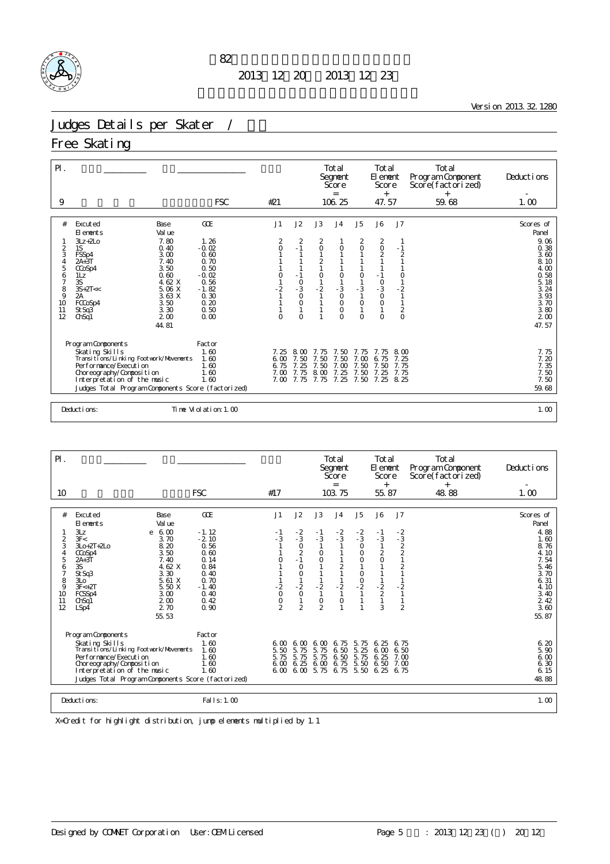

<u> 1980 - Johann Barn, mars ann an t-Amhain Aonaich an t-Aonaich an t-Aonaich ann an t-Aonaich ann an t-Aonaich</u>

Version 2013.32.1280

# Judges Details per Skater / 女子

Free Skating

| $\mathsf{P}$ .      |                                                                     |                      |                |                                        |                     | Total<br>Segnent<br>Score<br>$=$ |                          | Total<br>El ement<br>Score<br>$+$           |                | Total<br>Program Component<br>Score(factorized)<br>$+$ | Deductions       |
|---------------------|---------------------------------------------------------------------|----------------------|----------------|----------------------------------------|---------------------|----------------------------------|--------------------------|---------------------------------------------|----------------|--------------------------------------------------------|------------------|
| 9                   |                                                                     | <b>FSC</b>           | #21            |                                        |                     | 106.25                           |                          | 47.57                                       |                | 59.68                                                  | 1.00             |
|                     |                                                                     |                      |                |                                        |                     |                                  |                          |                                             |                |                                                        |                  |
| #                   | Excuted<br>Base                                                     | GOE                  | J1             | J2                                     | J3                  | J <sub>4</sub>                   | J5                       | J6                                          | J7             |                                                        | Scores of        |
|                     | Val ue<br>El ements<br>7.80<br>$3Lz + 2L0$                          | 1.26                 | 2              |                                        |                     |                                  |                          |                                             |                |                                                        | Panel<br>9.06    |
| $\overline{2}$      | 1S<br>0.40                                                          | $-0.02$              | $\overline{O}$ | $\overline{c}$<br>$-1$                 | 2<br>$\circ$        | $\circ$                          | 2<br>$\circ$             | 2<br>$\circ$                                | $-1$           |                                                        | 0.38             |
| 3                   | 3.00<br>FSSp4                                                       | 0.60                 |                |                                        |                     |                                  |                          | $\overline{2}$                              | $\overline{2}$ |                                                        | 3.60             |
| $\overline{4}$<br>5 | 7.40<br>$2A+3T$<br>3.50<br>CCoSp4                                   | 0.70<br>0.50         |                |                                        | $\frac{2}{1}$       |                                  |                          |                                             |                |                                                        | 8.10<br>4.00     |
| 6                   | 0.60<br>1Lz                                                         | $-0.02$              | $\circ$        | $-1$                                   | $\circ$             | $\circ$                          | $\circ$                  | $-1$                                        | 0              |                                                        | 0.58             |
| $\overline{7}$<br>8 | 3S<br>4.62 X<br>$3S+2T<<$<br>5.06 X                                 | 0.56<br>$-1.82$      | $-2$           | $\begin{array}{c} 0 \\ -3 \end{array}$ | $-2$                | $-3$                             | - 3                      | $\begin{smallmatrix}0\\-3\end{smallmatrix}$ | $-2$           |                                                        | 5.18<br>3.24     |
| 9                   | 3.63 X<br>2A                                                        | 0.30                 |                | $\circ$                                |                     | $\circ$                          | $\mathbf{1}$             | $\circ$                                     |                |                                                        | 3.93             |
| 10                  | 3.50<br>FCCoSp4                                                     | 0.20                 |                | 0                                      |                     | $\circ$                          | $\circ$                  | 0                                           |                |                                                        | $3.70$<br>$3.80$ |
| 11<br>12            | 3.30<br>St Sq3<br>200<br>ChSq1                                      | 0.50<br>0.00         | $\Omega$       | $\Omega$                               |                     | $\circ$<br>$\Omega$              | $\mathbf{1}$<br>$\Omega$ | 1<br>$\Omega$                               | $\frac{2}{0}$  |                                                        | 2 <sub>0</sub>   |
|                     | 44.81                                                               |                      |                |                                        |                     |                                  |                          |                                             |                |                                                        | 47.57            |
|                     |                                                                     |                      |                |                                        |                     |                                  |                          |                                             |                |                                                        |                  |
|                     | Program Components                                                  | Factor               |                |                                        |                     |                                  |                          |                                             |                |                                                        |                  |
|                     | Skating Skills                                                      | 1.60                 | 7.25           | 8.00                                   | 7.75                | 7.50                             | 7.75                     | 7.75                                        | 8 M            |                                                        | 7.75             |
|                     | Transi ti ons/Li nki ng Footvork/Movements<br>Performance/Execution | 1.60<br>1.60         | 6.00<br>6.75   | 7.50<br>7.25                           | 7.50<br>7.50 7.00   | 7.50                             | 7.00<br>7.50             | 6.75<br>7.50                                | 7.25<br>7.75   |                                                        | 7.20<br>7.35     |
|                     | Choreography/Composition                                            | 1.60                 | $7 \Omega$     | 7.75                                   | 8.00                | 7.25                             | 7.50                     | 7.25                                        | 7.75           |                                                        | 7.50             |
|                     | Interpretation of the music                                         | 1.60                 |                |                                        | 7.00 7.75 7.75 7.25 |                                  |                          | 7.50 7.25 8.25                              |                |                                                        | 7.50             |
|                     | Judges Total Program Components Score (factorized)                  |                      |                |                                        |                     |                                  |                          |                                             |                |                                                        | 59.68            |
|                     |                                                                     |                      |                |                                        |                     |                                  |                          |                                             |                |                                                        |                  |
|                     | Deductions:                                                         | Time Violation: 1.00 |                |                                        |                     |                                  |                          |                                             |                |                                                        | 1.00             |

| $P$ .                                                              |                                                                                                                                                                                                                                                                                       |                                                                                                              |                                                                                |                                                                                                           |                                                                                        | Total<br>Segnent<br>Score<br>$=$                                      |                                                                                             | Total<br>El ement<br>Score<br>$^{+}$                                       |                                                                                               | Total<br>Program Component<br>Score(factorized)<br>$^{+}$ | Deductions                                                                                                                   |
|--------------------------------------------------------------------|---------------------------------------------------------------------------------------------------------------------------------------------------------------------------------------------------------------------------------------------------------------------------------------|--------------------------------------------------------------------------------------------------------------|--------------------------------------------------------------------------------|-----------------------------------------------------------------------------------------------------------|----------------------------------------------------------------------------------------|-----------------------------------------------------------------------|---------------------------------------------------------------------------------------------|----------------------------------------------------------------------------|-----------------------------------------------------------------------------------------------|-----------------------------------------------------------|------------------------------------------------------------------------------------------------------------------------------|
| 10                                                                 |                                                                                                                                                                                                                                                                                       | <b>FSC</b>                                                                                                   | #17                                                                            |                                                                                                           |                                                                                        | 103.75                                                                |                                                                                             | 55.87                                                                      |                                                                                               | 48.88                                                     | 1.00                                                                                                                         |
| #<br>$\frac{2}{3}$<br>4<br>5<br>6<br>7<br>8<br>9<br>10<br>11<br>12 | Excuted<br>Base<br>Val ue<br>El ements<br>3Lz<br>6.00<br>e<br>3F<<br>3.70<br>8.20<br>$3L0+2T+2L0$<br>3.50<br>CCoSp4<br>$2A+3T$<br>7.40<br>3S<br>4.62 X<br>3.30<br>St Sq3<br>5.61 X<br>3L <sub>O</sub><br>$3F+2T$<br>5.50 X<br>FCSSp4<br>3.00<br>200<br>ChSq1<br>2.70<br>LSp4<br>55.53 | GOE<br>$-1.12$<br>$-2.10$<br>0.56<br>0.60<br>0.14<br>0.84<br>0.40<br>0.70<br>$-1.40$<br>0.40<br>0.42<br>0.90 | J1<br>- 1<br>$-3$<br>$\mathbf 0$<br>$\frac{2}{0}$<br>$\circ$<br>$\overline{2}$ | J2<br>$-2$<br>$-3$<br>$\circ$<br>$\frac{2}{1}$<br>$\circ$<br>$\circ$<br>$-2$<br>$\circ$<br>$\overline{2}$ | J3<br>- 1<br>$-3$<br>$\circ$<br>$\circ$<br>$-2$<br>$\mathbf{1}$<br>O<br>$\overline{2}$ | J <sub>4</sub><br>$\frac{-2}{3}$<br>$\overline{c}$<br>$-2$<br>$\circ$ | J5<br>$-2$<br>$-3$<br>$\circ$<br>$\begin{matrix} 0 \\ 0 \end{matrix}$<br>1<br>$\frac{0}{2}$ | J6<br>$-1$<br>$-3$<br>$\mathbf{1}$<br>$\frac{2}{0}$<br>$-\frac{2}{2}$<br>3 | J7<br>$-2$<br>$-3$<br>$2$<br>$2$<br>$1$<br>$\overline{2}$<br>$-2$<br>1<br>1<br>$\overline{2}$ |                                                           | Scores of<br>Panel<br>4.88<br>1.60<br>8.76<br>4.10<br>7.54<br>5.46<br>3.70<br>6.31<br>4.10<br>3.40<br>2 4 2<br>3.60<br>55.87 |
|                                                                    | Program Components<br>Skating Skills<br>Transi ti ons/Li nki ng Footvork/Movements<br>Per for mance/Execution<br>Choreography/Composition<br>Interpretation of the music<br>Judges Total Program Components Score (factorized)                                                        | Factor<br>1.60<br>1.60<br>1.60<br>1.60<br>1.60                                                               | 6 M<br>5.50<br>5.75<br>6 <sub>0</sub><br>6.00                                  | 6.00<br>5.75<br>5.75<br>6.25<br>6,00                                                                      | 6.00<br>5.<br>75<br>5.75<br>6.00<br>5.75                                               | 6.75<br>6.50<br>6.50<br>6.75<br>6.75                                  | 5.75<br>5.25<br>5.75<br>5.50<br>5.50                                                        | 6.25<br>6.00<br>6.25<br>6.50<br>6.25                                       | 6.75<br>6.50<br>$7 \Omega$<br>7.00<br>6.75                                                    |                                                           | 6.20<br>5.90<br>6.00<br>6.30<br>6.15<br>48.88                                                                                |
|                                                                    | Deductions:                                                                                                                                                                                                                                                                           | Fal   s: 1, 00                                                                                               |                                                                                |                                                                                                           |                                                                                        |                                                                       |                                                                                             |                                                                            |                                                                                               |                                                           | 1.00                                                                                                                         |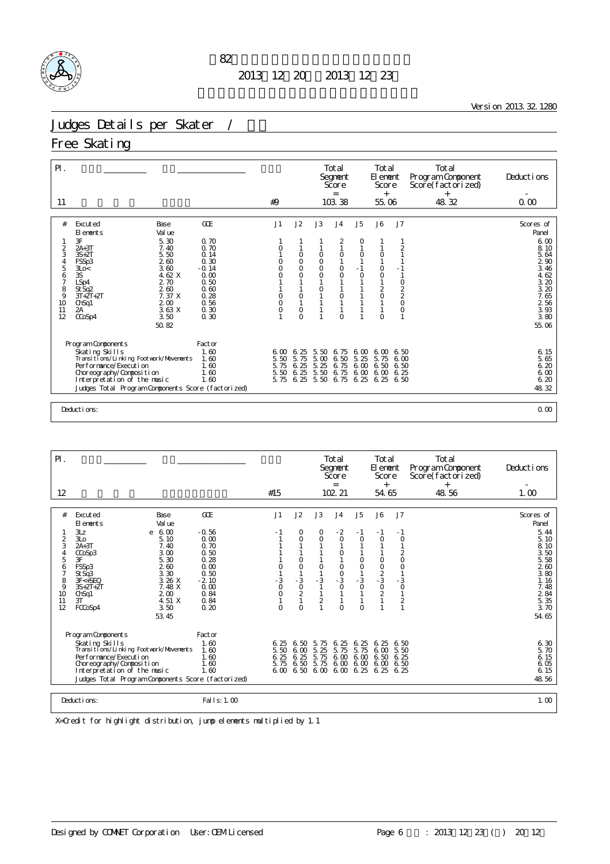

<u> 1980 - Johann Barn, mars ann an t-Amhain Aonaich an t-Aonaich an t-Aonaich ann an t-Aonaich ann an t-Aonaich</u>

Version 2013.32.1280

### Judges Details per Skater / 女子

#### Free Skating

| $P$ .                                             |                                                                                                                                                                                                                                  |                                                                                                 |                                      |                                                    |                                         | Total<br>Segnent<br>Score<br>$=$<br>103.38                |                                      | Total<br>El ement<br>Score<br>$^{+}$                                                                               |                                                                                                             | Total<br>Program Component<br>Score(factorized)<br>$^{+}$ | Deductions                                                                                           |
|---------------------------------------------------|----------------------------------------------------------------------------------------------------------------------------------------------------------------------------------------------------------------------------------|-------------------------------------------------------------------------------------------------|--------------------------------------|----------------------------------------------------|-----------------------------------------|-----------------------------------------------------------|--------------------------------------|--------------------------------------------------------------------------------------------------------------------|-------------------------------------------------------------------------------------------------------------|-----------------------------------------------------------|------------------------------------------------------------------------------------------------------|
| 11                                                |                                                                                                                                                                                                                                  |                                                                                                 | #9                                   |                                                    |                                         |                                                           |                                      | 55.06                                                                                                              |                                                                                                             | 48.32                                                     | 0.00                                                                                                 |
| #                                                 | Excuted<br>Base<br>Val ue<br>El ements                                                                                                                                                                                           | GOE                                                                                             | J1                                   | J2                                                 | J3                                      | J <sub>4</sub>                                            | J <sub>5</sub>                       | J6                                                                                                                 | J7                                                                                                          |                                                           | Scores of<br>Panel                                                                                   |
| 2<br>3<br>5<br>6<br>7<br>8<br>9<br>10<br>11<br>12 | 3F<br>5.30<br>$2A+3T$<br>7.40<br>5.50<br>$3S+2T$<br>260<br>FSSp3<br>3.60<br>3Lo<<br>3S<br>4.62 X<br>2.70<br>LSp4<br>260<br>St Sq2<br>7.37 X<br>$3T+2T+2T$<br>200<br>Ch <sub>Sq1</sub><br>3.63 X<br>2A<br>CCoSp4<br>3.50<br>50.82 | 0.70<br>0.70<br>0.14<br>0.30<br>$-0.14$<br>0.00<br>0.50<br>0.60<br>0.28<br>0.56<br>0.30<br>0.30 | 0<br>0<br>O<br>0<br>0<br>0           | $\circ$<br>$\circ$<br>O<br>0<br>O<br>O<br>$\Omega$ | $\circ$<br>$\circ$<br>O<br>$\circ$<br>O | 2<br>$\circ$<br>$\circ$<br>$\circ$<br>$\circ$<br>$\Omega$ | O<br>$\circ$<br>- 1<br>$\circ$<br>1  | $\circ$<br>$\circ$<br>$\circ$<br>$\mathbf{1}$<br>$\sqrt{2}$<br>$\circ$<br>$\mathbf{1}$<br>$\mathbf{1}$<br>$\Omega$ | $\overline{c}$<br>- 1<br>$\mathbf{1}$<br>$\circ$<br>$\frac{2}{2}$<br>$\circ$<br>$\mathsf O$<br>$\mathbf{1}$ |                                                           | 6.00<br>8.10<br>5.64<br>290<br>3.46<br>4.62<br>3.20<br>3.20<br>7.65<br>2 56<br>3.93<br>3.80<br>55.06 |
|                                                   | Program Components<br>Skating Skills<br>Transi ti ons/Li nki ng Footvork/Movements<br>Performance/Execution<br>Choreography/Composition<br>Interpretation of the music<br>Judges Total Program Components Score (factorized)     | Factor<br>1.60<br>1.60<br>1.60<br>1.60<br>1.60                                                  | 6.00<br>5.50<br>5.75<br>5.50<br>5.75 | 6.25<br>5.75<br>6.25<br>6.25<br>6.25               | 5.50<br>5.00<br>5.25<br>5.50<br>5.50    | 6.75<br>6.50<br>6.75<br>6.75<br>6.75                      | 6,00<br>5.25<br>6.00<br>6.00<br>6.25 | 6 <sub>0</sub><br>5.75<br>6.50<br>6.00<br>6.25                                                                     | 6.50<br>6 <sub>0</sub><br>6.50<br>6.25<br>6.50                                                              |                                                           | 6.15<br>5.65<br>6.20<br>6.00<br>6.20<br>48.32                                                        |
|                                                   | Deductions:                                                                                                                                                                                                                      |                                                                                                 |                                      |                                                    |                                         |                                                           |                                      |                                                                                                                    |                                                                                                             |                                                           | 0.00                                                                                                 |

| $\mathsf{P}$ .                                                                                     |                                                                                                                                                                                                                                                                                                     |                                                                                                                  |                                                                     |                                                                                            |                                                            | Total<br>Segnent<br>Score<br>$=$                                                    |                                                                          | Total<br>El ement<br>Score<br>$+$                                                      |                                                                                                                                 | Total<br>Program Component<br>Score(factorized)<br>$^{+}$ | Deductions                                                                                                                    |
|----------------------------------------------------------------------------------------------------|-----------------------------------------------------------------------------------------------------------------------------------------------------------------------------------------------------------------------------------------------------------------------------------------------------|------------------------------------------------------------------------------------------------------------------|---------------------------------------------------------------------|--------------------------------------------------------------------------------------------|------------------------------------------------------------|-------------------------------------------------------------------------------------|--------------------------------------------------------------------------|----------------------------------------------------------------------------------------|---------------------------------------------------------------------------------------------------------------------------------|-----------------------------------------------------------|-------------------------------------------------------------------------------------------------------------------------------|
| 12                                                                                                 |                                                                                                                                                                                                                                                                                                     |                                                                                                                  | #15                                                                 |                                                                                            |                                                            | 102 21                                                                              |                                                                          | 54.65                                                                                  |                                                                                                                                 | 48.56                                                     | 1.00                                                                                                                          |
| #<br>$\overline{2}$<br>3<br>$\overline{4}$<br>5<br>6<br>$\overline{7}$<br>8<br>9<br>10<br>11<br>12 | Excuted<br>Base<br>Val ue<br>El ements<br>3Lz<br>6.00<br>e<br>3L <sub>O</sub><br>5.10<br>$2A+3T$<br>7.40<br>3.00<br>CCoSp3<br>5.30<br>3F<br>FSSp3<br>260<br>3.30<br>St Sq3<br>3.26 X<br>$3F < +SEO$<br>7.48 X<br>$3S+2T+2T$<br>200<br>Ch <sub>Sq1</sub><br>4.51 X<br>3T<br>FCCoSp4<br>3.50<br>53.45 | <b>GOE</b><br>$-0.56$<br>0.00<br>0.70<br>0.50<br>0.28<br>0.00<br>0.50<br>$-2.10$<br>0.00<br>0.84<br>0.84<br>0.20 | J <sub>1</sub><br>- 1<br>0<br>- 3<br>$\circ$<br>$\circ$<br>$\Omega$ | J2<br>O<br>$\overline{O}$<br>0<br>$\circ$<br>$-3$<br>$\circ$<br>$\overline{2}$<br>$\Omega$ | J3<br>0<br>$\circ$<br>0<br>- 3<br>1<br>$\overline{a}$<br>1 | J <sub>4</sub><br>$-2$<br>$\circ$<br>0<br>0<br>$\frac{0}{3}$<br>$\circ$<br>$\Omega$ | J5<br>$-1$<br>O<br>0<br>$\circ$<br>$-3$<br>$\circ$<br>1<br>1<br>$\Omega$ | J6<br>$-1$<br>$\circ$<br>$\circ$<br>$\frac{0}{2}$<br>$-3$<br>$\circ$<br>$\overline{2}$ | J7<br>$-1$<br>$\circ$<br>$\frac{2}{0}$<br>$\mathsf O$<br>- 3<br>$\begin{smallmatrix}0\\1\end{smallmatrix}$<br>2<br>$\mathbf{1}$ |                                                           | Scores of<br>Panel<br>5.44<br>5.10<br>8.10<br>3.50<br>5.58<br>2.60<br>$3.80$<br>1.16<br>7.48<br>2 84<br>5.35<br>3.70<br>54.65 |
|                                                                                                    | Program Components<br>Skating Skills<br>Transi ti ons/Li nki ng Footvork/Movements<br>Performance/Execution<br>Choreography/Composition<br>Interpretation of the music<br>Judges Total Program Components Score (factorized)                                                                        | Factor<br>1.60<br>1.60<br>1.60<br>1.60<br>1.60                                                                   | 6.25<br>5.50<br>6.25<br>5.75                                        | 6.50<br>6.00<br>6.25<br>6.50<br>6,00,6,50                                                  | 5.75<br>5.25<br>5.75<br>5.75                               | 6.25<br>5.75<br>6.00<br>6.00 6.00 6.25                                              | 6.25<br>5.75<br>600                                                      | 6.25<br>6.00<br>6.50<br>6.00 6.00 6.00<br>6.25                                         | 6.50<br>5.50<br>6.25<br>6.50<br>6.25                                                                                            |                                                           | $6.30$<br>$5.70$<br>6.15<br>6.05<br>6.15<br>48.56                                                                             |
|                                                                                                    | Deductions:                                                                                                                                                                                                                                                                                         | Fal I s: 1, 00                                                                                                   |                                                                     |                                                                                            |                                                            |                                                                                     |                                                                          |                                                                                        |                                                                                                                                 |                                                           | 1.00                                                                                                                          |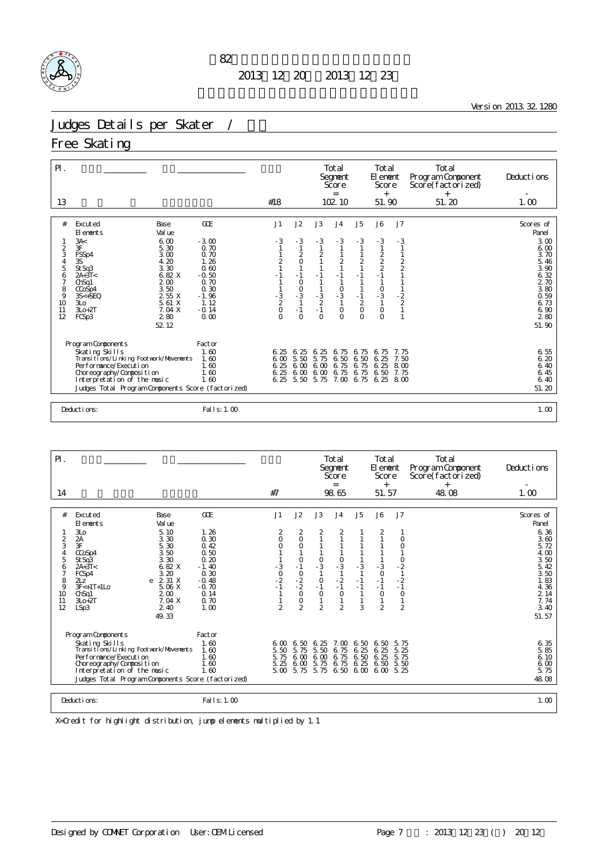

<u> 1980 - Johann Barn, mars ann an t-Amhain Aonaich an t-Aonaich an t-Aonaich ann an t-Aonaich ann an t-Aonaich</u>

Version 2013.32.1280

### Judges Details per Skater / 女子

Free Skating

| $\mathsf{P}$ .                                                                                                                                                                                                                                                                                                                                                         |                                                                                                                        |                                                                   |                                                                                                       |                                                             | Total<br>Segnent<br>Score<br>$=$                                                        |                                                                                          | Total<br>El enent<br>Score<br>$+$                                           |                                                                                 | Total<br>Program Component<br>Score(factorized)<br>$^{+}$ | Deductions                                                                                                                                 |
|------------------------------------------------------------------------------------------------------------------------------------------------------------------------------------------------------------------------------------------------------------------------------------------------------------------------------------------------------------------------|------------------------------------------------------------------------------------------------------------------------|-------------------------------------------------------------------|-------------------------------------------------------------------------------------------------------|-------------------------------------------------------------|-----------------------------------------------------------------------------------------|------------------------------------------------------------------------------------------|-----------------------------------------------------------------------------|---------------------------------------------------------------------------------|-----------------------------------------------------------|--------------------------------------------------------------------------------------------------------------------------------------------|
| 13                                                                                                                                                                                                                                                                                                                                                                     |                                                                                                                        | #18                                                               |                                                                                                       |                                                             | 102 10                                                                                  |                                                                                          | 51.90                                                                       |                                                                                 | 51.20                                                     | 1.00                                                                                                                                       |
| Excuted<br>Base<br>#<br>Val ue<br>El ements<br>3A<<br>6.00<br>3F<br>$\overline{c}$<br>5.30<br>3<br>FSSp4<br>3.00<br>4.20<br>$\overline{a}$<br>3S<br>5<br>3.30<br>StSq3<br>6.82 X<br>6<br>$2A+3T<$<br>200<br>7<br>ChSq1<br>3.50<br>8<br>CCoSp4<br>2 55 X<br>9<br>$3S+SEQ$<br>5.61 X<br>10<br>3 <sub>LO</sub><br>$3L0+2T$<br>7.04 X<br>11<br>12<br>280<br>FCSp3<br>52 12 | <b>GOE</b><br>$-3.00$<br>0.70<br>0.70<br>1.26<br>0.60<br>$-0.50$<br>0.70<br>0.30<br>$-1.96$<br>1.12<br>$-0.14$<br>0.00 | J1<br>$-3$<br>$\overline{c}$<br>$-1$<br>$\frac{3}{2}$<br>$\Omega$ | J2<br>$-3$<br>$\frac{2}{0}$<br>$\overline{1}$<br>$-1$<br>$\circ$<br>$\frac{0}{3}$<br>$-1$<br>$\Omega$ | J3<br>$-3$<br>2<br>$-1$<br>$-3$<br>$-2$<br>$-1$<br>$\Omega$ | J <sub>4</sub><br>$-3$<br>$\frac{2}{1}$<br>$-1$<br>$\frac{0}{3}$<br>$\circ$<br>$\Omega$ | J5<br>$-3$<br>$\frac{2}{1}$<br>$-1$<br>$\mathbf{1}$<br>$-1$<br>$\frac{2}{0}$<br>$\Omega$ | J6<br>$-3$<br>$\frac{2}{2}$<br>$-1$<br>$\frac{0}{3}$<br>$\circ$<br>$\Omega$ | J7<br>$-3$<br>$\frac{2}{2}$<br>$\begin{array}{c} -2 \\ 2 \\ 2 \\ 1 \end{array}$ |                                                           | Scores of<br>Panel<br>3.00<br>600<br>3.70<br>$\frac{5}{3}$ $\frac{46}{90}$<br>6.32<br>2 70<br>3.80<br>0.59<br>6.73<br>6.90<br>280<br>51.90 |
| Program Components<br>Skating Skills<br>Transi ti ons/Li nki ng Footvork/Movements<br>Performance/Execution<br>Choreography/Composition<br>Interpretation of the music<br>Judges Total Program Components Score (factorized)                                                                                                                                           | Factor<br>1.60<br>1.60<br>1.60<br>1.60<br>1.60                                                                         | 6.25<br>6.00<br>6.25<br>6.25                                      | 6.25<br>5.50<br>6.00<br>6.00<br>6, 25, 5, 50                                                          | 6.25<br>5.75<br>6.00<br>6.00<br>5.75                        | 6.75<br>6.50<br>6.75<br>6.75                                                            | 6.75<br>6.50<br>6.75<br>6.75                                                             | 6.75<br>6.25<br>6.25<br>6.50<br>7.00 6.75 6.25                              | 7.75<br>7.50<br>8 <sub>0</sub><br>7.75<br>8 M                                   |                                                           | 6.55<br>6.20<br>6.40<br>6.45<br>6.40<br>51.20                                                                                              |
| Deductions:                                                                                                                                                                                                                                                                                                                                                            | Fal I s: 1, 00                                                                                                         |                                                                   |                                                                                                       |                                                             |                                                                                         |                                                                                          |                                                                             |                                                                                 |                                                           | 1.00                                                                                                                                       |

| $\mathsf{P}$ .                                                |                                                                                                                                                                                                                                                                                         |                                                                                                                     |                                                                       |                                                                                                                      |                                                                                                                                | Total<br>Segnent<br>Score<br>$=$                                                                                                       |                                      | Total<br>El ement<br>Score<br>$^{+}$                                    |                                                                                                                                | Total<br>Program Component<br>Score(factorized)<br>$^{+}$ | Deductions                                                                                                                    |
|---------------------------------------------------------------|-----------------------------------------------------------------------------------------------------------------------------------------------------------------------------------------------------------------------------------------------------------------------------------------|---------------------------------------------------------------------------------------------------------------------|-----------------------------------------------------------------------|----------------------------------------------------------------------------------------------------------------------|--------------------------------------------------------------------------------------------------------------------------------|----------------------------------------------------------------------------------------------------------------------------------------|--------------------------------------|-------------------------------------------------------------------------|--------------------------------------------------------------------------------------------------------------------------------|-----------------------------------------------------------|-------------------------------------------------------------------------------------------------------------------------------|
| 14                                                            |                                                                                                                                                                                                                                                                                         |                                                                                                                     | #7                                                                    |                                                                                                                      |                                                                                                                                | 98.65                                                                                                                                  |                                      | 51.57                                                                   |                                                                                                                                | 48.08                                                     | 1.00                                                                                                                          |
| #<br>$\frac{2}{3}$<br>4<br>5<br>6<br>8<br>9<br>10<br>11<br>12 | Excuted<br>Base<br>Val ue<br>El ements<br>5.10<br>3L <sub>O</sub><br>2A<br>3.30<br>3F<br>5.30<br>3.50<br>CCoSp4<br>3.30<br>St Sq3<br>6.82 X<br>$2A+3T<$<br>3.20<br>FCSp4<br>2 31 X<br>217<br>e<br>$3F<+1T+1L0$<br>5.06 X<br>ChSq1<br>200<br>7.04 X<br>$3L0+2T$<br>2.40<br>LSp3<br>49.33 | <b>GOE</b><br>1.26<br>0.30<br>0.42<br>0.50<br>0.20<br>$-1.40$<br>0.30<br>$-0.48$<br>$-0.70$<br>0.14<br>0.70<br>1.00 | J1<br>$\frac{2}{0}$<br>0<br>$-3$<br>0<br>-2<br>$-1$<br>$\overline{2}$ | J2<br>$\frac{2}{0}$<br>$\circ$<br>$\circ$<br>$-1$<br>$\circ$<br>$-2$<br>$-2$<br>$\circ$<br>$\circ$<br>$\overline{2}$ | J3<br>$\overline{2}$<br>$\mathbf{1}$<br>$\begin{array}{c} 0 \\ -3 \end{array}$<br>$\circ$<br>$-1$<br>$\circ$<br>$\overline{2}$ | $\sqrt{4}$<br>2<br>$\mathbf{1}$<br>$\begin{array}{c} 0 \\ -3 \end{array}$<br>$\mathbf{1}$<br>$-2$<br>$-1$<br>$\circ$<br>$\overline{2}$ | J5<br>$-3$<br>$-1$<br>$-1$<br>3      | J6<br>2<br>$-3$<br>$\circ$<br>$-1$<br>$-1$<br>$\circ$<br>$\overline{2}$ | J7<br>$\circ$<br>O<br>$\begin{smallmatrix}0\\-2\end{smallmatrix}$<br>$\mathbf{1}$<br>$-2$<br>$-1$<br>$\circ$<br>$\overline{2}$ |                                                           | Scores of<br>Panel<br>6.36<br>3.60<br>5.72<br>4.00<br>3.50<br>5.42<br>$3.50$<br>1.83<br>4.36<br>2 14<br>7.74<br>3.40<br>51.57 |
|                                                               | Program Components<br>Skating Skills<br>Transi ti ons/Li nki ng Footvork/Movements<br>Per for mance/Execution<br>Choreography/Composition<br>Interpretation of the music<br>Judges Total Program Components Score (factorized)                                                          | Factor<br>1.60<br>1.60<br>1.60<br>1.60<br>1.60                                                                      | 6. M<br>5.50<br>5.75<br>5.25<br>5.00                                  | 6.50<br>5.75<br>6.00<br>6.00<br>5.75                                                                                 | 6.25<br>5.50<br>6,00<br>5.75<br>5.75                                                                                           | 7. M<br>6.75<br>6.75<br>6.75<br>6.50                                                                                                   | 6.50<br>6.25<br>6.50<br>6.25<br>6.00 | 6.50<br>6.25<br>6.25<br>6.50<br>6.00                                    | 5.75<br>5.25<br>5.75<br>5.50<br>5.25                                                                                           |                                                           | $\begin{array}{c} 6.35 \\ 5.85 \end{array}$<br>6.10<br>6.00<br>5.75<br>48.08                                                  |
|                                                               | Deductions:                                                                                                                                                                                                                                                                             | Fal I s: 1.00                                                                                                       |                                                                       |                                                                                                                      |                                                                                                                                |                                                                                                                                        |                                      |                                                                         |                                                                                                                                |                                                           | 1.00                                                                                                                          |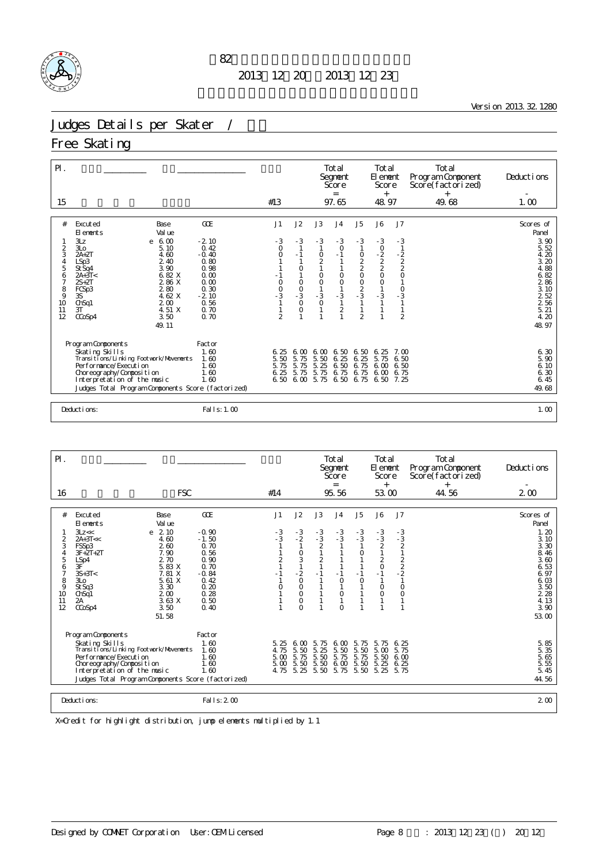

<u> 1980 - Johann Barn, mars ann an t-Amhain Aonaich an t-Aonaich an t-Aonaich ann an t-Aonaich ann an t-Aonaich</u>

Version 2013.32.1280

# Judges Details per Skater / 女子

Free Skating

| $\mathsf{P}$ .                                                                                                                                                                                                                                                                                                                                               |                                                                                                                     |                                                                                    |                                                                                 |                                                                                                           | Total<br>Segnent<br>Score<br>$=$                                                                                                            |                                                                                            | Total<br>El enent<br>Score<br>$^{+}$                          |                                                                                                                    | Total<br>Program Component<br>Score(factorized)<br>$^{+}$ | Deductions                                                                                                                                |
|--------------------------------------------------------------------------------------------------------------------------------------------------------------------------------------------------------------------------------------------------------------------------------------------------------------------------------------------------------------|---------------------------------------------------------------------------------------------------------------------|------------------------------------------------------------------------------------|---------------------------------------------------------------------------------|-----------------------------------------------------------------------------------------------------------|---------------------------------------------------------------------------------------------------------------------------------------------|--------------------------------------------------------------------------------------------|---------------------------------------------------------------|--------------------------------------------------------------------------------------------------------------------|-----------------------------------------------------------|-------------------------------------------------------------------------------------------------------------------------------------------|
| 15                                                                                                                                                                                                                                                                                                                                                           |                                                                                                                     | #13                                                                                |                                                                                 |                                                                                                           | 97.65                                                                                                                                       |                                                                                            | 48.97                                                         |                                                                                                                    | 49.68                                                     | 1.00                                                                                                                                      |
| Excuted<br>Base<br>#<br>El ements<br>Val ue<br>3Lz<br>6.00<br>e<br>$\overline{2}$<br>3L <sub>O</sub><br>5.10<br>3<br>$2A+2T$<br>4.60<br>4<br>2.40<br>LSp3<br>5<br>3.90<br>St Sq4<br>6.82 X<br>6<br>$2A+3T<$<br>2 86 X<br>7<br>$2S+2T$<br>8<br>280<br>FCSp3<br>9<br>4.62 X<br>3S<br>200<br>10<br>ChSq1<br>4.51 X<br>3T<br>11<br>12<br>3.50<br>CCoSp4<br>49.11 | <b>GOE</b><br>$-2.10$<br>0.42<br>$-0.40$<br>0.80<br>0.98<br>0.00<br>0.00<br>0.30<br>$-2.10$<br>0.56<br>0.70<br>0.70 | J1<br>$-3$<br>$\circ$<br>$\Omega$<br>$-1$<br>$\frac{0}{0}$<br>-3<br>$\mathfrak{D}$ | J2<br>$-3$<br>$-1$<br>$\circ$<br>$\circ$<br>$\frac{0}{3}$<br>$\circ$<br>$\circ$ | J3<br>$-3$<br>0<br>$\frac{2}{1}$<br>$\begin{matrix} 0 \\ 0 \end{matrix}$<br>$\mathbf{1}$<br>$\frac{3}{0}$ | J <sub>4</sub><br>$-3$<br>$\circ$<br>$-1$<br>$\circ$<br>$\circ$<br>$\mathbf{1}$<br>$-3$<br>$\mathbf{1}$<br>$\overline{2}$<br>$\overline{1}$ | J5<br>$-3$<br>0<br>2<br>2<br>0<br>2<br>3<br>$\mathbf{1}$<br>$\mathbf{1}$<br>$\overline{2}$ | J6<br>$-3$<br>$-2$<br>$-2$<br>$2$<br>O<br>$\mathbf 0$<br>$-3$ | J7<br>$-3$<br>$\mathbf{1}$<br>$\frac{1}{2}$<br>$\circ$<br>$\begin{array}{c} 0 \\ -3 \end{array}$<br>$\overline{2}$ |                                                           | Scores of<br>Panel<br>3.90<br>5.52<br>4.20<br>3.20<br>4.88<br>6.82<br>286<br>3.10<br>$2\frac{52}{2}$<br>$2\frac{56}{21}$<br>4.20<br>48.97 |
| Program Components<br>Skating Skills<br>Transi ti ons/Li nki ng Footvork/Movements<br>Per for mance/Execution<br>Choreography/Composition<br>Interpretation of the music<br>Judges Total Program Components Score (factorized)                                                                                                                               | Factor<br>1.60<br>1.60<br>1.60<br>1.60<br>1.60                                                                      | 6.25<br>5.50<br>5.75<br>6.25<br>6.50                                               | 6.00<br>5.75<br>5.75<br>5.75<br>6.00                                            | 6.00<br>5.50<br>5.25<br>5.75<br>5.75                                                                      | 6.50<br>6.25<br>6.50<br>6.75<br>6.50 6.75                                                                                                   | 6.50<br>25<br>6.<br>6.75<br>6.75                                                           | 6.25<br>5.75<br>6 <sub>0</sub><br>6.00<br>6.50                | 7. M<br>6.50<br>6.50<br>6.75<br>7.25                                                                               |                                                           | 6.30<br>5.90<br>6.10<br>6.30<br>6.45<br>49.68                                                                                             |
| Deductions:                                                                                                                                                                                                                                                                                                                                                  | Fal I s: 1.00                                                                                                       |                                                                                    |                                                                                 |                                                                                                           |                                                                                                                                             |                                                                                            |                                                               |                                                                                                                    |                                                           | 1.00                                                                                                                                      |

| $P$ .                                                              |                                                                                                                                                                                                                                                                                            |                                                                                                              |                                           |                                                                                            |                                                  | Total<br>Segnent<br>Score<br>$=$                                         |                                            | Total<br>El ement<br>Score<br>$^{+}$                              |                                                                             | Total<br>Program Component<br>Score(factorized)<br>$^{+}$ | Deductions                                                                                                                                       |
|--------------------------------------------------------------------|--------------------------------------------------------------------------------------------------------------------------------------------------------------------------------------------------------------------------------------------------------------------------------------------|--------------------------------------------------------------------------------------------------------------|-------------------------------------------|--------------------------------------------------------------------------------------------|--------------------------------------------------|--------------------------------------------------------------------------|--------------------------------------------|-------------------------------------------------------------------|-----------------------------------------------------------------------------|-----------------------------------------------------------|--------------------------------------------------------------------------------------------------------------------------------------------------|
| 16                                                                 | <b>FSC</b>                                                                                                                                                                                                                                                                                 |                                                                                                              | #14                                       |                                                                                            |                                                  | 95.56                                                                    |                                            | 53.00                                                             |                                                                             | 44.56                                                     | $2\omega$                                                                                                                                        |
| #<br>$\frac{2}{3}$<br>4<br>5<br>6<br>7<br>8<br>9<br>10<br>11<br>12 | Excuted<br>Base<br>Val ue<br>El ements<br>2.10<br>3Lz <<<br>e<br>$2A+3T<<$<br>4.60<br>FSSp3<br>260<br>$3F + 2T + 2T$<br>7.90<br>2.70<br>LSp4<br>3F<br>5.83 X<br>7.81 X<br>$3S+3T<$<br>5.61X<br>3 <sub>LO</sub><br>3.30<br>St Sq3<br>200<br>ChSq1<br>3.63X<br>2A<br>CCoSp4<br>3.50<br>51.58 | GOE<br>$-0.90$<br>$-1.50$<br>0.70<br>0.56<br>0.90<br>0.70<br>$-0.84$<br>0.42<br>0.20<br>0.28<br>0.50<br>0.40 | J1<br>$-3$<br>$-3$<br>$\overline{c}$<br>O | J2<br>$-3$<br>$-2$<br>0<br>3<br>$-2$<br>$\circ$<br>$\circ$<br>0<br>$\mathbf 0$<br>$\Omega$ | J3<br>$-3$<br>$-3$<br>2<br>$\frac{2}{1}$<br>$-1$ | J <sub>4</sub><br>$-3$<br>$-3$<br>$-1$<br>$\circ$<br>$\circ$<br>$\Omega$ | J5<br>$-3$<br>$-3$<br>O<br>$-1$<br>$\circ$ | J6<br>$-3$<br>$-3$<br>2<br>$\frac{2}{0}$<br>$-1$<br>0<br>$\Omega$ | J7<br>$-3$<br>$-3$<br>$2$<br>1<br>$\frac{2}{2}$<br>- 2<br>1<br>$\circ$<br>0 |                                                           | Scores of<br>Panel<br>1.20<br>$\frac{3}{3}$ $\frac{10}{30}$<br>8.46<br>3.60<br>6.53<br>6.97<br>6.03<br>$3.50$<br>$2.28$<br>4.13<br>3.90<br>53.00 |
|                                                                    | Program Components<br>Skating Skills<br>Transi ti ons/Li nki ng Footvork/Movements<br>Per for mance/Execution<br>Choreography/Composition<br>Interpretation of the music<br>Judges Total Program Components Score (factorized)                                                             | Factor<br>1.60<br>1.60<br>1.60<br>1.60<br>1.60                                                               | 5.25<br>4.75<br>5.00<br>5.00<br>4.75      | 6,00<br>5.50<br>5.75<br>5.50<br>5.25                                                       | 5.75<br>25<br>5.<br>5.50<br>5.50<br>5.50         | 6,00<br>5.50<br>5.75<br>600<br>5.<br>75                                  | 5.75<br>5.50<br>5.75<br>5.50<br>5.50       | 5.75<br>5.00<br>5.50<br>5.25<br>5.25                              | 6.25<br>5.75<br>6.00<br>6.25<br>5.75                                        |                                                           | $\frac{5}{5} \frac{85}{35}$<br>5. 65<br>5.55<br>5.45<br>44.56                                                                                    |
|                                                                    | Deductions:                                                                                                                                                                                                                                                                                | Falls: $200$                                                                                                 |                                           |                                                                                            |                                                  |                                                                          |                                            |                                                                   |                                                                             |                                                           | 2 <sub>0</sub>                                                                                                                                   |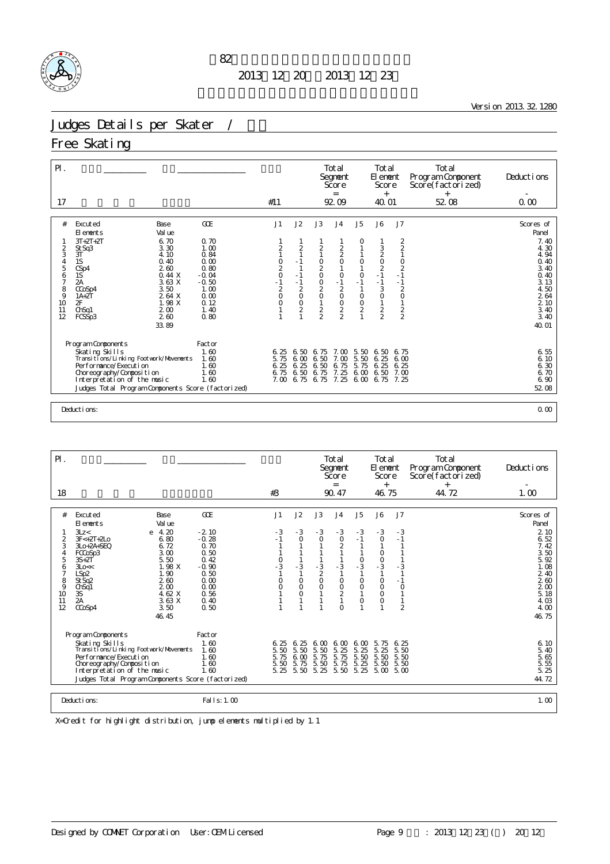

the control of the control of the control of the control of the control of

Version 2013.32.1280

### Judges Details per Skater /

#### Free Skating

| $\mathsf{P}$ .                        |                                                    |              |                                           |                         |                                                     | Total<br>Segnent<br>Score<br>$=$                |                                            | Total<br>El enent<br>Score<br>$^{+}$ |                                              | Total<br>Program Component<br>Score(factorized)<br>$+$ | Deductions         |
|---------------------------------------|----------------------------------------------------|--------------|-------------------------------------------|-------------------------|-----------------------------------------------------|-------------------------------------------------|--------------------------------------------|--------------------------------------|----------------------------------------------|--------------------------------------------------------|--------------------|
| 17                                    |                                                    |              | #11                                       |                         |                                                     | 92.09                                           |                                            | 40.01                                |                                              | 52.08                                                  | 0.00               |
|                                       |                                                    |              |                                           |                         |                                                     |                                                 |                                            |                                      |                                              |                                                        |                    |
| #                                     | Excuted<br>Base<br>Val ue<br>El ements             | GOE          | J1                                        | J2                      | J3                                                  | J <sub>4</sub>                                  | J <sub>5</sub>                             | J6                                   | J7                                           |                                                        | Scores of<br>Panel |
|                                       | $3T+2T+2T$<br>6.70                                 | 0.70         |                                           |                         |                                                     |                                                 | O                                          |                                      |                                              |                                                        | 7.40               |
|                                       | 3.30<br>St Sq3                                     | 1.00         | 2                                         | $\overline{\mathbf{c}}$ | 2                                                   |                                                 |                                            |                                      | $\begin{array}{c}\n2 \\ 2 \\ 1\n\end{array}$ |                                                        | 4.30               |
| $\frac{2}{3}$                         | 3T<br>4.10                                         | 0.84         |                                           |                         |                                                     | $\begin{smallmatrix} 2\\2\\0 \end{smallmatrix}$ |                                            |                                      |                                              |                                                        | 4.94               |
| $\begin{array}{c} 4 \\ 5 \end{array}$ | 1S<br>0.40<br>260                                  | 0.00<br>0.80 | $\begin{matrix} 0 \\ 2 \\ 0 \end{matrix}$ | $-1$                    | $\begin{smallmatrix} 0 \\ 2 \\ 0 \end{smallmatrix}$ |                                                 | $\begin{smallmatrix}0\\1\end{smallmatrix}$ | $\frac{3}{2}$<br>$\frac{2}{1}$       | $\begin{array}{c} 0 \\ 2 \\ -1 \end{array}$  |                                                        | 0.40               |
| 6                                     | CSp4<br>1S<br>0.44X                                | $-0.04$      |                                           | $-1$                    |                                                     | $\mathsf O$                                     | $\circ$                                    |                                      |                                              |                                                        | 3.40<br>0.40       |
| 7                                     | 3.63 X<br>2А                                       | $-0.50$      | $-1$                                      | $-1$                    |                                                     | $-1$                                            | $-1$                                       | $-1$                                 | $-1$                                         |                                                        | 3.13               |
| 8                                     | 3.50<br>CCoSp4                                     | 1.00         | $\mathbf 2$                               | $\overline{c}$          | $\frac{0}{2}$                                       | $\sqrt{2}$                                      | $\mathbf{1}$                               | 3                                    | $\overline{c}$                               |                                                        | 4.50               |
| 9<br>10                               | 2 64 X<br>$1A+2T$<br>2F<br>1.98 X                  | 0.00<br>0.12 | $\circ$<br>O                              | $\circ$<br>$\circ$      | $\mathbf{1}$                                        | $\mathsf O$                                     | $\circ$                                    | $\mathsf O$<br>$\mathbf{1}$          | $\circ$<br>$\mathbf{1}$                      |                                                        | 2 64<br>2 10       |
| 11                                    | 200<br>ChSq1                                       | 1.40         |                                           | $\overline{2}$          |                                                     | $\begin{matrix} 0 \\ 2 \\ 2 \end{matrix}$       | $\frac{0}{2}$                              |                                      |                                              |                                                        | 3.40               |
| 12                                    | 260<br>FCSSp3                                      | 0.80         |                                           |                         | $\frac{2}{2}$                                       |                                                 |                                            | $\frac{2}{2}$                        | $\frac{2}{2}$                                |                                                        | 3.40               |
|                                       | 33.89                                              |              |                                           |                         |                                                     |                                                 |                                            |                                      |                                              |                                                        | 40.01              |
|                                       | Program Components                                 | Factor       |                                           |                         |                                                     |                                                 |                                            |                                      |                                              |                                                        |                    |
|                                       | Skating Skills                                     | 1.60         | 6.25                                      | 6.50                    | 6.75                                                | 7.00                                            | 5.50                                       | 6.50                                 | 6.75                                         |                                                        | 6.55               |
|                                       | Transi ti ons/Li nki ng Footvork/Movements         | 1.60         | 5.75                                      | 6.00                    | 6.50                                                | 7.00                                            | 5.50                                       | 6.25                                 | 6,00                                         |                                                        | 6.10               |
|                                       | Performance/Execution                              | 1.60         | 6.25                                      | 6.25                    | 6.50                                                | 6.75                                            | 5.75                                       | 6.25                                 | 6.25                                         |                                                        | 6.30               |
|                                       | Choreography/Composition                           | 1.60         | 6.75                                      | 6.50                    | 6.75                                                | 7.25                                            | 6.00                                       | 6.50                                 | 7.00                                         |                                                        | 6.70               |
|                                       | Interpretation of the music                        | 1.60         | 7.00                                      | 6.75                    | 6.75                                                | 7.25                                            | 6,00                                       | 6.75                                 | 7.25                                         |                                                        | 6.90               |
|                                       | Judges Total Program Components Score (factorized) |              |                                           |                         |                                                     |                                                 |                                            |                                      |                                              |                                                        | 52 08              |
|                                       |                                                    |              |                                           |                         |                                                     |                                                 |                                            |                                      |                                              |                                                        |                    |
|                                       | Deductions:                                        |              |                                           |                         |                                                     |                                                 |                                            |                                      |                                              |                                                        | 0.00               |

| $\mathsf{P}$ .                                              |                                                                                                                                                                                                                                                                                    |                                                                                                                                  |                                                         |                                                                     |                                                                                              | Total<br>Segnent<br>Score<br>$=$                                                                         |                                                                                                  | Total<br>El ement<br>Score<br>$^{+}$                                                          |                                                                                      | Total<br>Program Component<br>Score(factorized)<br>$+$ | Deductions                                                                                                                           |
|-------------------------------------------------------------|------------------------------------------------------------------------------------------------------------------------------------------------------------------------------------------------------------------------------------------------------------------------------------|----------------------------------------------------------------------------------------------------------------------------------|---------------------------------------------------------|---------------------------------------------------------------------|----------------------------------------------------------------------------------------------|----------------------------------------------------------------------------------------------------------|--------------------------------------------------------------------------------------------------|-----------------------------------------------------------------------------------------------|--------------------------------------------------------------------------------------|--------------------------------------------------------|--------------------------------------------------------------------------------------------------------------------------------------|
| 18                                                          |                                                                                                                                                                                                                                                                                    |                                                                                                                                  | #3                                                      |                                                                     |                                                                                              | 90.47                                                                                                    |                                                                                                  | 46.75                                                                                         |                                                                                      | 44.72                                                  | 1.00                                                                                                                                 |
| #<br>2<br>3<br>4<br>5<br>6<br>7<br>8<br>9<br>10<br>11<br>12 | Excuted<br>Base<br>Val ue<br>El ements<br>4.20<br>3Lz <<br>e<br>6.80<br>$3F < +2T +2LO$<br>3Lo+2A+SEQ<br>6.72<br>3.00<br>FCCoSp3<br>5.50<br>$3S+2T$<br>1.98 X<br>3Lo <<<br>LSp2<br>1.90<br>260<br>St Sq2<br>200<br>ChSq1<br>3S<br>4.62 X<br>2A<br>3.63X<br>CCoSp4<br>3.50<br>46.45 | <b>GOE</b><br>$-2.10$<br>$-0.28$<br>0.70<br>0.50<br>0.42<br>$-0.90$<br>0.50<br>0.00<br>$\Omega$ $\Omega$<br>0.56<br>0.40<br>0.50 | J1<br>$-3$<br>$-1$<br>$\frac{0}{3}$<br>$\mathbf 0$<br>0 | J2<br>$-3$<br>$\mathbf 0$<br>$-3$<br>$\circ$<br>$\circ$<br>$\Omega$ | J3<br>$-3$<br>$\circ$<br>$-3$<br>$\overline{2}$<br>$\circ$<br>$\overline{O}$<br>$\mathbf{1}$ | J <sub>4</sub><br>$-3$<br>$\circ$<br>$\overline{2}$<br>$-3$<br>$\circ$<br>$\frac{0}{2}$<br>1<br>$\Omega$ | J5<br>$-3$<br>- 1<br>$\frac{0}{3}$<br>O<br>$\begin{smallmatrix}0\\1\end{smallmatrix}$<br>$\circ$ | J6<br>$-3$<br>$\circ$<br>$\circ$<br>$\frac{0}{3}$<br>$\circ$<br>$\circ$<br>$\circ$<br>$\circ$ | J7<br>$-3$<br>$-1$<br>$-3$<br>$-1$<br>$\circ$<br>$\mathbf{1}$<br>1<br>$\overline{2}$ |                                                        | Scores of<br>Panel<br>2 10<br>6.52<br>7.42<br>3.50<br>5.92<br>1.08<br>2 40<br>260<br>2 <sub>0</sub><br>5.18<br>4.03<br>4.00<br>46.75 |
|                                                             | Program Components<br>Skating Skills<br>Transi ti ons/Li nki ng Footvork/Movements<br>Per for mance/Execution<br>Choreography/Composition<br>Interpretation of the music<br>Judges Total Program Components Score (factorized)<br>Deductions:                                      | Factor<br>1.60<br>1.60<br>1.60<br>1.60<br>1.60<br>Fal   s: 1, 00                                                                 | 6.25<br>5.50<br>5.75<br>5.50<br>5.25                    | 6.25<br>5.50<br>6.00<br>5.75<br>5.50                                | 6.00<br>5.50<br>5.75<br>5.50<br>5.25                                                         | 6.00<br>5.25<br>5.75<br>5.75<br>5.50                                                                     | 6.00<br>5.25<br>5.50<br>5.25<br>5.25                                                             | 5.75<br>5.25<br>5.50<br>5.50<br>5.00                                                          | 6.25<br>5.50<br>5.50<br>5.50<br>5.00                                                 |                                                        | 6.10<br>$\frac{5}{5}$ . 40<br>5. 65<br>$\frac{5}{5}$ 55<br>5.25<br>44.72<br>1.00                                                     |
|                                                             |                                                                                                                                                                                                                                                                                    |                                                                                                                                  |                                                         |                                                                     |                                                                                              |                                                                                                          |                                                                                                  |                                                                                               |                                                                                      |                                                        |                                                                                                                                      |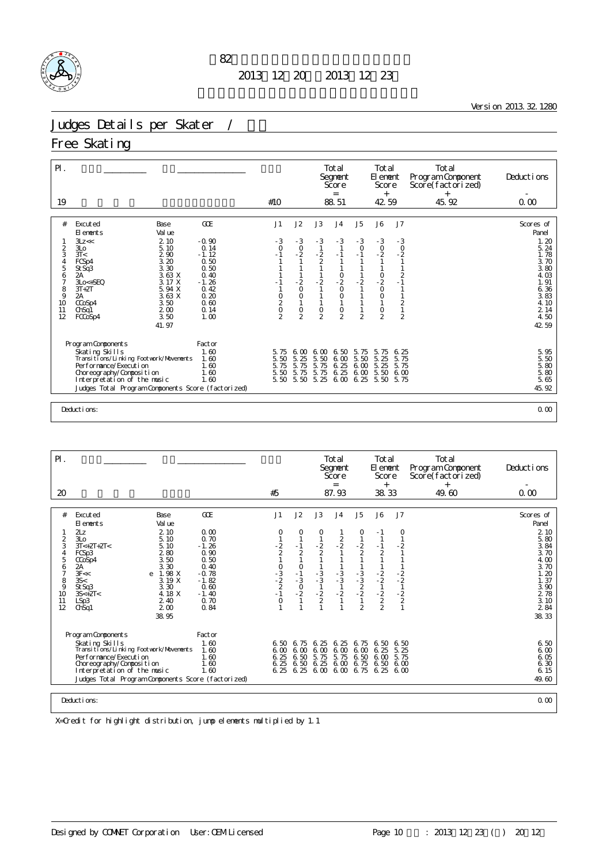

Version 2013.32.1280

### Judges Details per Skater / \

### Free Skating

| $\mathsf{PI}$ .<br>19                                                                                                                                                                                                                       |                                                                                                                               |                                                                                                              |                                                                                              |                                                                                           |                                                                  | Total<br>Segnent<br>Score<br>$=$                                                        |                                                                                                                              | Total<br>El enent<br>Score<br>$+$                                                                                       |                                                                                                                                        | Total<br>Program Component<br>Score(factorized)<br>$^{+}$<br>45.92 | Deductions                                                                                                                  |
|---------------------------------------------------------------------------------------------------------------------------------------------------------------------------------------------------------------------------------------------|-------------------------------------------------------------------------------------------------------------------------------|--------------------------------------------------------------------------------------------------------------|----------------------------------------------------------------------------------------------|-------------------------------------------------------------------------------------------|------------------------------------------------------------------|-----------------------------------------------------------------------------------------|------------------------------------------------------------------------------------------------------------------------------|-------------------------------------------------------------------------------------------------------------------------|----------------------------------------------------------------------------------------------------------------------------------------|--------------------------------------------------------------------|-----------------------------------------------------------------------------------------------------------------------------|
|                                                                                                                                                                                                                                             |                                                                                                                               |                                                                                                              | #10                                                                                          |                                                                                           |                                                                  | 88.51                                                                                   |                                                                                                                              | 42 59                                                                                                                   |                                                                                                                                        |                                                                    | 0.00                                                                                                                        |
| #<br>Excuted<br>El ements<br>3Lz <<<br>2<br>3L <sub>O</sub><br>3<br>3T <<br>FCSp4<br>4<br>5<br>St Sq3<br>2A<br>6<br>7<br>$3Lo < +SEQ$<br>8<br>$3T+2T$<br>9<br>2A<br>10<br>CCoSp4<br>11<br>Ch <sub>Sq</sub> 1<br>12<br>FCCoSp4               | Base<br>Val ue<br>2.10<br>5.10<br>290<br>3.20<br>3.30<br>3.63 X<br>3.17 X<br>5.94 X<br>3.63 X<br>3.50<br>200<br>3.50<br>41.97 | GOE<br>$-0.90$<br>0.14<br>$-1.12$<br>0.50<br>0.50<br>0.40<br>$-1.26$<br>0.42<br>0.20<br>0.60<br>0.14<br>1.00 | J1<br>$-3$<br>$\circ$<br>$-1$<br>$\begin{matrix} 0 \\ 2 \\ 0 \end{matrix}$<br>$\mathfrak{D}$ | J2<br>$-3$<br>$\frac{0}{2}$<br>$\frac{1}{2}$<br>$\circ$<br>1<br>$\circ$<br>$\overline{2}$ | J3<br>$-3$<br>$\frac{2}{2}$<br>$-2$<br>$\circ$<br>$\overline{2}$ | J <sub>4</sub><br>$-3$<br>$-1$<br>$-2$<br>0<br>$\circ$<br>$\mathsf O$<br>$\overline{2}$ | J <sub>5</sub><br>$-3$<br>$\circ$<br>$-1$<br>$\frac{1}{2}$<br>$\mathbf{1}$<br>$\mathbf{1}$<br>$\mathbf{1}$<br>$\overline{2}$ | J6<br>$-3$<br>$^{0}_{-2}$<br>$\frac{1}{0}$<br>$\frac{2}{0}$<br>$\circ$<br>$\mathbf{1}$<br>$\mathsf O$<br>$\overline{a}$ | J7<br>$-3$<br>$\circ$<br>$-2$<br>$\mathbf{1}$<br>1<br>$\frac{2}{1}$<br>$\mathbf{1}$<br>$\mathbf{1}$<br>$\frac{2}{1}$<br>$\overline{2}$ |                                                                    | Scores of<br>Panel<br>1.20<br>5.24<br>1.78<br>3.70<br>3.80<br>4.03<br>1.91<br>6.36<br>3.83<br>4.10<br>2 14<br>4.50<br>42 59 |
| Program Components<br>Skating Skills<br>Transi ti ons/Li nki ng Footvork/Movements<br>Performance/Execution<br>Choreography/Composition<br>Interpretation of the music<br>Judges Total Program Components Score (factorized)<br>Deductions: |                                                                                                                               | Factor<br>1.60<br>1.60<br>1.60<br>1.60<br>1.60                                                               | 5.75<br>5.50<br>5.75<br>5.50<br>5.50                                                         | $\infty$<br>6.<br>5.25<br>5.75<br>5.75<br>5.50                                            | 6.00<br>5.50<br>5.75<br>5.75<br>5.25                             | 6.50<br>6.00<br>6.25<br>6.25<br>6.00                                                    | 5.75<br>5.50<br>6.00<br>6.00<br>6.25                                                                                         | 5.75<br>5.25<br>5.25<br>5.50<br>5.50                                                                                    | 6.25<br>5.75<br>5.75<br>600<br>5.75                                                                                                    |                                                                    | 5.95<br>$\frac{5}{5}$ 50<br>5.80<br>5.80<br>5.65<br>45.92<br>0.00                                                           |

| $\mathsf{P}$ .                                                           |                                                                                                                                                                                                                                                                                             |                                                                                                                 |                                                                                                                            |                                                                                      |                                                               | Total<br>Segnent<br>Score                                       |                                                                            | Total<br>El ement<br>Score                                                                                          |                                                                    | Total<br>Program Component<br>Score(factorized) | Deductions                                                                                                                                            |
|--------------------------------------------------------------------------|---------------------------------------------------------------------------------------------------------------------------------------------------------------------------------------------------------------------------------------------------------------------------------------------|-----------------------------------------------------------------------------------------------------------------|----------------------------------------------------------------------------------------------------------------------------|--------------------------------------------------------------------------------------|---------------------------------------------------------------|-----------------------------------------------------------------|----------------------------------------------------------------------------|---------------------------------------------------------------------------------------------------------------------|--------------------------------------------------------------------|-------------------------------------------------|-------------------------------------------------------------------------------------------------------------------------------------------------------|
| 20                                                                       |                                                                                                                                                                                                                                                                                             |                                                                                                                 | #5                                                                                                                         |                                                                                      |                                                               | $=$<br>87.93                                                    |                                                                            | $^{+}$<br>38.33                                                                                                     |                                                                    | $^{+}$<br>49.60                                 | 0.00                                                                                                                                                  |
| #<br>2<br>3<br>4<br>5<br>6<br>$\overline{7}$<br>8<br>9<br>10<br>11<br>12 | Excuted<br>Base<br>Val ue<br>El ements<br>2Lz<br>2.10<br>3L <sub>O</sub><br>5.10<br>$3T < +2T + 2T <$<br>5.10<br>280<br>FCSp3<br>3.50<br>CCoSp4<br>3.30<br>2A<br>1.98 X<br>3F <<<br>e<br>35<<br>3.19 X<br>3.30<br>St Sq3<br>4.18 X<br>$3S<+2T<$<br>2.40<br>LSp3<br>200<br>Ch <sub>Sq1</sub> | GOE<br>0.00<br>0.70<br>$-1.26$<br>0.90<br>0.50<br>0.40<br>$-0.78$<br>$-1.82$<br>0.60<br>$-1.40$<br>0.70<br>0.84 | J <sub>1</sub><br>0<br>$\frac{2}{2}$<br>$\mathbf{1}$<br>$\begin{array}{c} 0 \\ -3 \\ -2 \\ 2 \\ -1 \end{array}$<br>$\circ$ | J2<br>0<br>$\mathbf{1}$<br>$-1$<br>2<br>1<br>$\circ$<br>$-1$<br>$-3$<br>$-0$<br>$-2$ | J3<br>O<br>$\frac{2}{2}$<br>$-3$<br>$-3$<br>$-1$<br>$-2$<br>2 | J <sub>4</sub><br>$\frac{2}{2}$<br>$-3$<br>$-3$<br>$-1$<br>$-2$ | J5<br>0<br>$\frac{2}{2}$<br>$-3$<br>$-3$<br>$-2$<br>$-2$<br>$\overline{2}$ | J6<br>$-1$<br>$-1$<br>$\overline{2}$<br>$\begin{array}{c} 1 \\ -2 \\ -2 \\ 1 \\ -2 \\ 2 \\ 2 \\ 2 \\ 1 \end{array}$ | J <sub>7</sub><br>0<br>$-2$<br>$-2$<br>$-2$<br>$-2$<br>$-2$<br>$2$ |                                                 | Scores of<br>Panel<br>2 10<br>5.80<br>3.84<br>3.70<br>4.00<br>3.70<br>1.20<br>1.37<br>$\frac{3}{2}$ $\frac{90}{78}$<br>$\frac{1}{2}$ $\frac{1}{2}$ 84 |
|                                                                          | 38.95<br>Program Components<br>Skating Skills<br>Transi ti ons/Li nki ng Footvork/Movements<br>Per for mance/Execution<br>Choreography/Composition<br>Interpretation of the music<br>Judges Total Program Components Score (factorized)<br>Deductions:                                      | Factor<br>1.60<br>1.60<br>1.60<br>1.60<br>1.60                                                                  | 6.50<br>6.25<br>6.25<br>6.25                                                                                               | 6.75<br>6,00,6,00<br>6.50<br>6.50<br>6.25                                            | 6.25<br>6.00<br>5.75<br>6.25<br>6.00                          | 6.25<br>6.00<br>5.75<br>6.00<br>6.00                            | 6.75<br>6.00<br>6.50<br>6.75                                               | 6.50<br>6.25<br>6.00<br>6.50<br>6.75 6.25                                                                           | 6.50<br>5.25<br>5.75<br>6,00<br>6 <sub>0</sub>                     |                                                 | 38.33<br>6.50<br>6.00<br>6.05<br>6.30<br>6.15<br>49.60<br>0.00                                                                                        |
|                                                                          |                                                                                                                                                                                                                                                                                             |                                                                                                                 |                                                                                                                            |                                                                                      |                                                               |                                                                 |                                                                            |                                                                                                                     |                                                                    |                                                 |                                                                                                                                                       |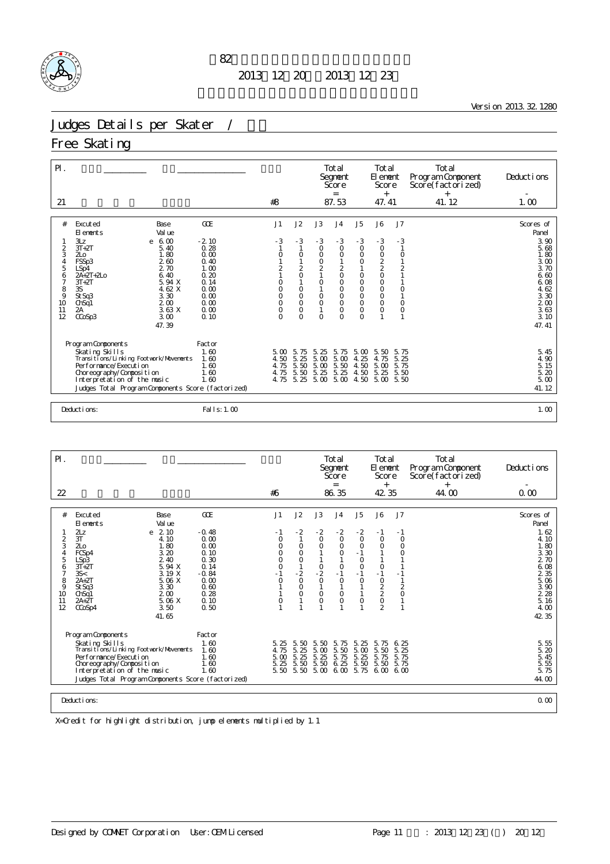

<u>Version 2013.32.1280</u>

### Judges Details per Skater / 女子

Free Skating

| $\mathsf{P}$ .                                                                                                                                                                                                            |                                                                                                                                    |                                                                                                               |                                                                                                            |                                                                                                                   |                                                                                                                 | Total<br>Segnent<br>Score<br>$=$                                                                                                             |                                                                                                                                                                   | Total<br>El enent<br>Score<br>$^{+}$                                                                                    |                                                                          | Total<br>Program Component<br>Score(factorized)<br>$^{+}$ | Deductions                                                                                                                    |
|---------------------------------------------------------------------------------------------------------------------------------------------------------------------------------------------------------------------------|------------------------------------------------------------------------------------------------------------------------------------|---------------------------------------------------------------------------------------------------------------|------------------------------------------------------------------------------------------------------------|-------------------------------------------------------------------------------------------------------------------|-----------------------------------------------------------------------------------------------------------------|----------------------------------------------------------------------------------------------------------------------------------------------|-------------------------------------------------------------------------------------------------------------------------------------------------------------------|-------------------------------------------------------------------------------------------------------------------------|--------------------------------------------------------------------------|-----------------------------------------------------------|-------------------------------------------------------------------------------------------------------------------------------|
| 21                                                                                                                                                                                                                        |                                                                                                                                    |                                                                                                               | #8                                                                                                         |                                                                                                                   |                                                                                                                 | 87.53                                                                                                                                        |                                                                                                                                                                   | 47.41                                                                                                                   |                                                                          | 41.12                                                     | 1.00                                                                                                                          |
| #<br>Excuted<br>El ements<br>3Lz<br>$\overline{2}$<br>$3T+2T$<br>3<br>2 <sub>LO</sub><br>FSSp3<br>4<br>5<br>LSp4<br>$2A+2T+2L0$<br>6<br>7<br>$3T+2T$<br>8<br>3S<br>9<br>St Sq3<br>10<br>ChSq1<br>2A<br>11<br>12<br>CCoSp3 | Base<br>Val ue<br>$e \t 6.00$<br>5.40<br>1.80<br>260<br>2.70<br>6.40<br>5.94 X<br>4.62 X<br>3.30<br>200<br>3.63 X<br>3.00<br>47.39 | <b>GOE</b><br>$-2.10$<br>0.28<br>0.00<br>0.40<br>1.00<br>0.20<br>0.14<br>0.00<br>0.00<br>0.00<br>0.00<br>0.10 | J1<br>- 3<br>0<br>$\overline{2}$<br>$\circ$<br>$\overline{O}$<br>$\circ$<br>$\circ$<br>$\circ$<br>$\Omega$ | J2<br>$-3$<br>$\circ$<br>$\overline{2}$<br>$\circ$<br>$\circ$<br>$\circ$<br>$\circ$<br>$\overline{O}$<br>$\Omega$ | J3<br>$-3$<br>$\circ$<br>0<br>$^{\rm O}_{\rm 2}$<br>$\circ$<br>$\circ$<br>$\circ$<br>$\overline{1}$<br>$\Omega$ | J <sub>4</sub><br>$-3$<br>$\circ$<br>$\circ$<br>$\overline{c}$<br>$\circ$<br>$\circ$<br>$\circ$<br>$\circ$<br>$\circ$<br>$\circ$<br>$\Omega$ | J5<br>$-3$<br>$\circ$<br>O<br>$\begin{smallmatrix}0\\1\end{smallmatrix}$<br>$\mathsf O$<br>$\circ$<br>$\circ$<br>$\circ$<br>$\circ$<br>$\overline{O}$<br>$\Omega$ | J6<br>$-3$<br>$\circ$<br>$\circ$<br>$\frac{2}{2}$<br>$\mathbf 0$<br>$\circ$<br>$\circ$<br>$\circ$<br>$\circ$<br>$\circ$ | J7<br>$-3$<br>$\circ$<br>$\overline{2}$<br>$\circ$<br>$\circ$<br>$\circ$ |                                                           | Scores of<br>Panel<br>3.90<br>5.68<br>1.80<br>3.00<br>3.70<br>6.60<br>6.08<br>4.62<br>3.30<br>$200$<br>$363$<br>3.10<br>47.41 |
| Program Components<br>Skating Skills<br>Per for mance/Execution<br>Choreography/Composition<br>Interpretation of the music<br>Deductions:                                                                                 | Transi ti ons/Li nki ng Footvork/Movements<br>Judges Total Program Components Score (factorized)                                   | Factor<br>1.60<br>1.60<br>1.60<br>1.60<br>1.60<br>Fal   s: 1, 00                                              | $5\,\mathrm{m}$<br>4.50<br>4.75<br>4.75<br>4.75                                                            | 75<br>-5.<br>5.<br>25<br>$\frac{5}{5}$ 50<br>5.25                                                                 | 5.25<br>5.00<br>$\frac{5}{5}$ $\frac{00}{25}$<br>5.00                                                           | 5.75<br>5.00<br>$\frac{5}{5}$ 50<br>5.25<br>5.00                                                                                             | 5.00<br>25<br>4.<br>4.50<br>4.50<br>4.50                                                                                                                          | 5.50<br>4.75<br>5.00<br>5.25<br>5.00                                                                                    | 5.75<br>5.25<br>5.75<br>5.50<br>5.50                                     |                                                           | 5.45<br>4.90<br>$\frac{5}{5}$ $\frac{15}{20}$<br>5.00<br>41.12<br>1.00                                                        |

| $\mathsf{P}$ .                                                     |                                                                                                                                                                                                                                                                                              |                                                                                                           |                                                                                          |                                                              |                                                                                    | Total<br>Segnent<br>Score<br>$=$                                                                            |                                                                                                          | Total<br>El ement<br>Score<br>$^{+}$                                                                         |                                                        | Total<br>Program Component<br>Score(factorized)<br>$^{+}$ | Deductions                                                                                                                                    |
|--------------------------------------------------------------------|----------------------------------------------------------------------------------------------------------------------------------------------------------------------------------------------------------------------------------------------------------------------------------------------|-----------------------------------------------------------------------------------------------------------|------------------------------------------------------------------------------------------|--------------------------------------------------------------|------------------------------------------------------------------------------------|-------------------------------------------------------------------------------------------------------------|----------------------------------------------------------------------------------------------------------|--------------------------------------------------------------------------------------------------------------|--------------------------------------------------------|-----------------------------------------------------------|-----------------------------------------------------------------------------------------------------------------------------------------------|
| 22                                                                 |                                                                                                                                                                                                                                                                                              |                                                                                                           | #6                                                                                       |                                                              |                                                                                    | 86.35                                                                                                       |                                                                                                          | 42 35                                                                                                        |                                                        | 44.00                                                     | 0.00                                                                                                                                          |
| #<br>$\frac{2}{3}$<br>4<br>5<br>6<br>7<br>8<br>9<br>10<br>11<br>12 | Excuted<br>Base<br>El ements<br>Val ue<br>2z<br>2.10<br>e<br>3T<br>4.10<br>1.80<br>2L <sub>0</sub><br>3.20<br>FCSp4<br>2.40<br>LSp3<br>$3T+2T$<br>5.94 X<br>35<<br>3.19 X<br>$2A+2T$<br>5.06 X<br>3.30<br>St Sq3<br>200<br>Ch <sub>Sq1</sub><br>5.06 X<br>$2A+2T$<br>3.50<br>CCoSp4<br>41.65 | GOE<br>$-0.48$<br>0.00<br>0.00<br>0.10<br>0.30<br>0.14<br>$-0.84$<br>0.00<br>0.60<br>0.28<br>0.10<br>0.50 | J1<br>- 1<br>$\circ$<br>$\circ$<br>$\circ$<br>$\circ$<br>$\circ$<br>$-1$<br>$\circ$<br>0 | J2<br>$-2$<br>O<br>O<br>O<br>$-2$<br>$\circ$<br>O<br>$\circ$ | J3<br>$-2$<br>$\circ$<br>$\circ$<br>$\frac{0}{2}$<br>$\circ$<br>$\circ$<br>$\circ$ | J <sub>4</sub><br>$-2$<br>$\circ$<br>$\circ$<br>$\circ$<br>$\circ$<br>$-1$<br>$\circ$<br>$\circ$<br>$\circ$ | J <sub>5</sub><br>$-2$<br>$\circ$<br>$\circ$<br>$-1$<br>$\circ$<br>$\circ$<br>$-1$<br>$\circ$<br>$\circ$ | J6<br>$-1$<br>$\circ$<br>$\circ$<br>$\circ$<br>$-1$<br>$\circ$<br>$\frac{2}{2}$<br>$\circ$<br>$\overline{2}$ | J7<br>$-1$<br>$\circ$<br>$\circ$<br>0<br>$\frac{2}{0}$ |                                                           | Scores of<br>Panel<br>1.62<br>4.10<br>1.80<br>3.30<br>2 70<br>6.08<br>2 3 5<br>5.06<br>$\frac{3}{2}$ $\frac{90}{28}$<br>5.16<br>4.00<br>42 35 |
|                                                                    | Program Components<br>Skating Skills<br>Transi ti ons/Li nki ng Footvork/Movements<br>Per for mance/Execution<br>Choreography/Composition<br>Interpretation of the music<br>Judges Total Program Components Score (factorized)<br>Deductions:                                                | Factor<br>1.60<br>1.60<br>1.60<br>1.60<br>1.60                                                            | 5.25<br>4.75<br>5.00<br>5.25<br>5.50                                                     | 5.50<br>5.25<br>5.25<br>5.50<br>5.50                         | 5.50<br>5.00<br>5.25<br>5.50<br>5.00 6.00                                          | 5.75<br>5.50<br>5.75<br>6.25                                                                                | 5.25<br>5.00<br>5.25<br>5.50<br>5.75                                                                     | 5.75<br>5.50<br>5.75<br>5.50<br>6.00                                                                         | 6.25<br>5.25<br>5.75<br>5.75<br>6 <sub>0</sub>         |                                                           | $\frac{5}{5}$ . 55<br>5. 20<br>5.45<br>5.<br>55<br>5.75<br>44.00<br>0.00                                                                      |